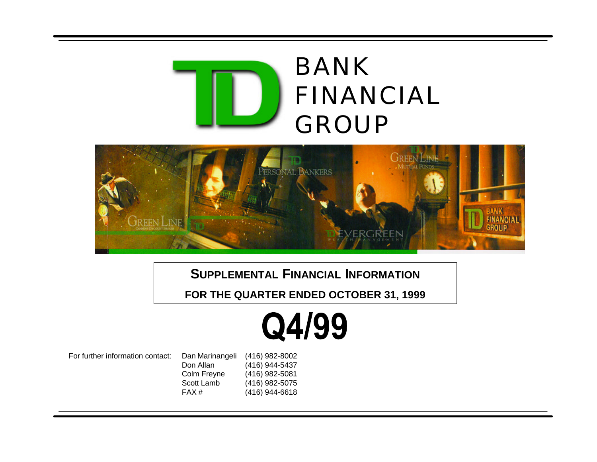



**SUPPLEMENTAL FINANCIAL INFORMATION**

**[FOR THE QUARTER ENDED OCTOBER 31, 1999](#page-1-0)**

# Q4/99

For further information contact: Dan Marinangeli Don Allan Colm Freyne Scott Lamb FAX # (416) 982-8002 (416) 944-5437 (416) 982-5081 (416) 982-5075 (416) 944-6618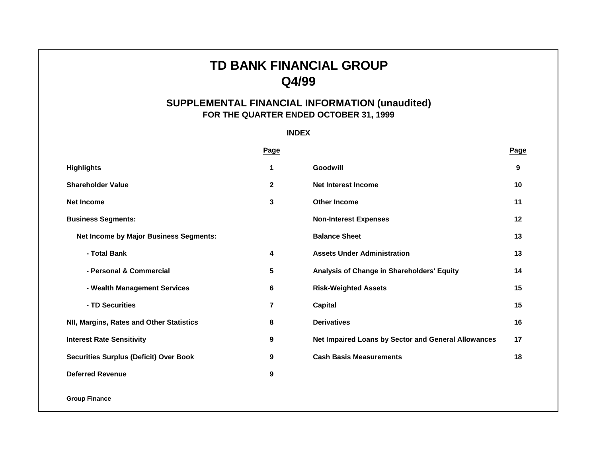# **TD BANK FINANCIAL GROUP Q4/99**

# **SUPPLEMENTAL FINANCIAL INFORMATION (unaudited) FOR THE QUARTER ENDED OCTOBER 31, 1999**

**INDEX**

<span id="page-1-0"></span>

|                                               | <b>Page</b> |                                                     | Page |
|-----------------------------------------------|-------------|-----------------------------------------------------|------|
| <b>Highlights</b>                             | 1           | Goodwill                                            | 9    |
| <b>Shareholder Value</b>                      | $\mathbf 2$ | Net Interest Income                                 | 10   |
| <b>Net Income</b>                             | 3           | <b>Other Income</b>                                 | 11   |
| <b>Business Segments:</b>                     |             | <b>Non-Interest Expenses</b>                        | 12   |
| <b>Net Income by Major Business Segments:</b> |             | <b>Balance Sheet</b>                                | 13   |
| - Total Bank                                  | 4           | <b>Assets Under Administration</b>                  | 13   |
| - Personal & Commercial                       | 5           | Analysis of Change in Shareholders' Equity          | 14   |
| - Wealth Management Services                  | 6           | <b>Risk-Weighted Assets</b>                         | 15   |
| - TD Securities                               | 7           | <b>Capital</b>                                      | 15   |
| NII, Margins, Rates and Other Statistics      | 8           | <b>Derivatives</b>                                  | 16   |
| <b>Interest Rate Sensitivity</b>              | 9           | Net Impaired Loans by Sector and General Allowances | 17   |
| <b>Securities Surplus (Deficit) Over Book</b> | 9           | <b>Cash Basis Measurements</b>                      | 18   |
| <b>Deferred Revenue</b>                       | 9           |                                                     |      |
| <b>Group Finance</b>                          |             |                                                     |      |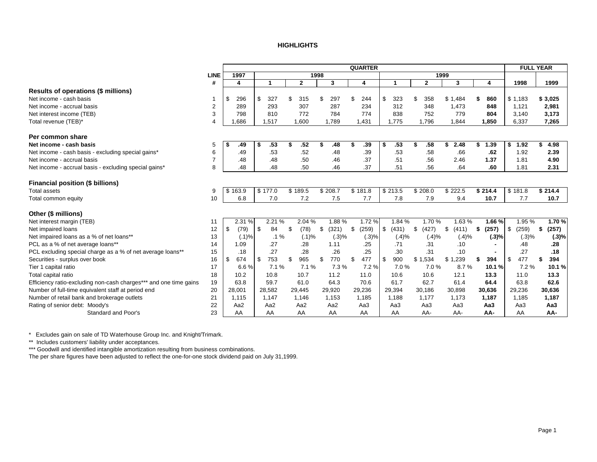#### **HIGHLIGHTS**

<span id="page-2-0"></span>

|                                                                   |                |         |        |         |        |         |              |         |       | <b>QUARTER</b> |         |                 |              |        |             |                 | <b>FULL YEAR</b> |             |
|-------------------------------------------------------------------|----------------|---------|--------|---------|--------|---------|--------------|---------|-------|----------------|---------|-----------------|--------------|--------|-------------|-----------------|------------------|-------------|
|                                                                   | <b>LINE</b>    | 1997    |        |         |        |         |              | 1998    |       |                |         |                 |              | 1999   |             |                 |                  |             |
|                                                                   | #              | 4       |        |         | 1      |         | $\mathbf{2}$ |         | 3     | 4              | 1       |                 | $\mathbf{2}$ |        | 3           | 4               | 1998             | 1999        |
| Results of operations (\$ millions)                               |                |         |        |         |        |         |              |         |       |                |         |                 |              |        |             |                 |                  |             |
| Net income - cash basis                                           |                | \$      | 296    | \$      | 327    | \$      | 315          | \$      | 297   | \$<br>244      | \$      | 323             | \$           | 358    | \$1,484     | 860             | \$1,183          | \$3,025     |
| Net income - accrual basis                                        | $\overline{2}$ |         | 289    |         | 293    |         | 307          |         | 287   | 234            |         | 312             |              | 348    | 1,473       | 848             | 1,121            | 2,981       |
| Net interest income (TEB)                                         | 3              |         | 798    |         | 810    |         | 772          |         | 784   | 774            |         | 838             |              | 752    | 779         | 804             | 3,140            | 3,173       |
| Total revenue (TEB)*                                              | 4              | 1.686   |        |         | 1.517  |         | 1.600        |         | 1.789 | 1.431          |         | 1.775           | 1.796        |        | 1.844       | 1.850           | 6.337            | 7,265       |
| Per common share                                                  |                |         |        |         |        |         |              |         |       |                |         |                 |              |        |             |                 |                  |             |
| Net income - cash basis                                           | 5              | \$      | .49    | \$      | .53    |         | .52          | \$      | .48   | \$<br>.39      | \$      | .53             | \$           | .58    | 2.48<br>\$  | 1.39            | \$<br>1.92       | \$<br>4.98  |
| Net income - cash basis - excluding special gains*                | 6              |         | .49    |         | .53    |         | .52          |         | .48   | .39            |         | .53             |              | .58    | .66         | .62             | 1.92             | 2.39        |
| Net income - accrual basis                                        | $\overline{7}$ |         | .48    |         | .48    |         | .50          |         | .46   | .37            |         | .51             |              | .56    | 2.46        | 1.37            | 1.81             | 4.90        |
| Net income - accrual basis - excluding special gains*             | 8              |         | .48    |         | .48    |         | .50          |         | .46   | .37            |         | .51             |              | .56    | .64         | .60             | 1.81             | 2.31        |
| Financial position (\$ billions)                                  |                |         |        |         |        |         |              |         |       |                |         |                 |              |        |             |                 |                  |             |
| Total assets                                                      | 9              | \$163.9 |        | \$177.0 |        | \$189.5 |              | \$208.7 |       | \$181.8        | \$213.5 |                 | \$208.0      |        | \$222.5     | \$214.4         | \$181.8          | \$214.4     |
| Total common equity                                               | 10             |         | 6.8    |         | 7.0    |         | 7.2          |         | 7.5   | 7.7            |         | 7.8             |              | 7.9    | 9.4         | 10.7            | 7.7              | 10.7        |
| Other (\$ millions)                                               |                |         |        |         |        |         |              |         |       |                |         |                 |              |        |             |                 |                  |             |
| Net interest margin (TEB)                                         | 11             |         | 2.31 % |         | 2.21 % |         | 2.04 %       |         | 1.88% | 1.72%          |         | 1.84 %          |              | 1.70 % | 1.63%       | 1.66%           | 1.95 %           | 1.70%       |
| Net impaired loans                                                | 12             | \$      | (79)   | \$      | 84     | \$      | (78)         | \$      | (321) | \$<br>(259)    | \$      | (431)           | \$           | (427)  | \$<br>(411) | (257)           | \$<br>(259)      | \$<br>(257) |
| Net impaired loans as a % of net loans**                          | 13             |         | (.1)%  |         | $.1\%$ |         | (.1)%        |         | (.3)% | (.3)%          |         | (.4)%           |              | (.4)%  | (.4)%       | (.3)%           | (.3)%            | (.3)%       |
| PCL as a % of net average loans**                                 | 14             |         | 1.09   |         | .27    |         | .28          |         | 1.11  | .25            |         | .71             |              | .31    | .10         |                 | .48              | .28         |
| PCL excluding special charge as a % of net average loans**        | 15             |         | .18    |         | .27    |         | .28          |         | .26   | .25            |         | .30             |              | .31    | .10         |                 | .27              | .18         |
| Securities - surplus over book                                    | 16             | \$      | 674    | \$      | 753    | \$      | 965          | \$      | 770   | \$<br>477      | \$      | 900             | \$1,534      |        | \$1,239     | 394             | \$<br>477        | \$<br>394   |
| Tier 1 capital ratio                                              | 17             |         | 6.6%   |         | 7.1%   |         | 7.1%         |         | 7.3%  | 7.2%           |         | 7.0%            |              | 7.0%   | 8.7%        | 10.1%           | 7.2%             | 10.1%       |
| Total capital ratio                                               | 18             |         | 10.2   |         | 10.8   |         | 10.7         |         | 11.2  | 11.0           |         | 10.6            | 10.6         |        | 12.1        | 13.3            | 11.0             | 13.3        |
| Efficiency ratio-excluding non-cash charges*** and one time gains | 19             | 63.8    |        |         | 59.7   |         | 61.0         |         | 64.3  | 70.6           |         | 61.7            | 62.7         |        | 61.4        | 64.4            | 63.8             | 62.6        |
| Number of full-time equivalent staff at period end                | 20             | 28,001  |        |         | 28,582 |         | 29,445       | 29,920  |       | 29,236         | 29,394  |                 | 30,186       |        | 30,898      | 30,636          | 29,236           | 30,636      |
| Number of retail bank and brokerage outlets                       | 21             | 1,115   |        |         | 1,147  |         | 1,146        |         | 1,153 | 1,185          | 1,188   |                 | 1,177        |        | 1,173       | 1,187           | 1,185            | 1,187       |
| Rating of senior debt: Moody's                                    | 22             | Aa2     |        |         | Aa2    |         | Aa2          |         | Aa2   | Aa3            |         | Aa <sub>3</sub> | Aa3          |        | Aa3         | Aa <sub>3</sub> | Aa3              | Aa3         |
| Standard and Poor's                                               | 23             | AA      |        |         | AA     |         | AA           |         | AA    | AA             |         | AA              | AA-          |        | AA-         | AA-             | AA               | AA-         |

\* Excludes gain on sale of TD Waterhouse Group Inc. and Knight/Trimark.

\*\* Includes customers' liability under acceptances.

\*\*\* Goodwill and identified intangible amortization resulting from business combinations.

The per share figures have been adjusted to reflect the one-for-one stock dividend paid on July 31,1999.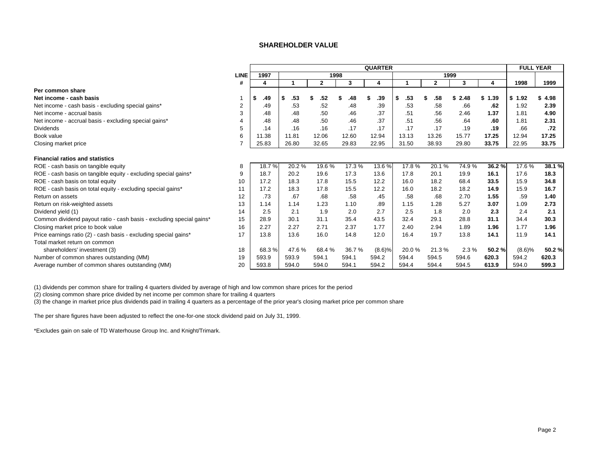#### **SHAREHOLDER VALUE**

<span id="page-3-0"></span>

|                                                                      |             |           |           |              |       | <b>QUARTER</b> |           |              |           |            | <b>FULL YEAR</b> |        |
|----------------------------------------------------------------------|-------------|-----------|-----------|--------------|-------|----------------|-----------|--------------|-----------|------------|------------------|--------|
|                                                                      | <b>LINE</b> | 1997      |           | 1998         |       |                |           | 1999         |           |            |                  |        |
|                                                                      | #           | 4         |           | $\mathbf{2}$ | 3     | 4              |           | $\mathbf{2}$ | 3         | 4          | 1998             | 1999   |
| Per common share                                                     |             |           |           |              |       |                |           |              |           |            |                  |        |
| Net income - cash basis                                              |             | \$<br>.49 | \$<br>.53 | .52          | .48   | .39            | \$<br>.53 | .58          | 2.48<br>S | \$<br>1.39 | \$1.92           | 4.98   |
| Net income - cash basis - excluding special gains*                   |             | .49       | .53       | .52          | .48   | .39            | .53       | .58          | .66       | .62        | 1.92             | 2.39   |
| Net income - accrual basis                                           | 3           | .48       | .48       | .50          | .46   | .37            | .51       | .56          | 2.46      | 1.37       | 1.81             | 4.90   |
| Net income - accrual basis - excluding special gains*                |             | .48       | .48       | .50          | .46   | .37            | .51       | .56          | .64       | .60        | 1.81             | 2.31   |
| <b>Dividends</b>                                                     | 5           | .14       | .16       | .16          | .17   | .17            | .17       | .17          | .19       | .19        | .66              | .72    |
| Book value                                                           | 6           | 11.38     | 11.81     | 12.06        | 12.60 | 12.94          | 13.13     | 13.26        | 15.77     | 17.25      | 12.94            | 17.25  |
| Closing market price                                                 |             | 25.83     | 26.80     | 32.65        | 29.83 | 22.95          | 31.50     | 38.93        | 29.80     | 33.75      | 22.95            | 33.75  |
| <b>Financial ratios and statistics</b>                               |             |           |           |              |       |                |           |              |           |            |                  |        |
| ROE - cash basis on tangible equity                                  | 8           | 18.7%     | 20.2%     | 19.6%        | 17.3% | 13.6%          | 17.8%     | 20.1%        | 74.9%     | 36.2%      | 17.6 %           | 38.1 % |
| ROE - cash basis on tangible equity - excluding special gains*       | 9           | 18.7      | 20.2      | 19.6         | 17.3  | 13.6           | 17.8      | 20.1         | 19.9      | 16.1       | 17.6             | 18.3   |
| ROE - cash basis on total equity                                     | 10          | 17.2      | 18.3      | 17.8         | 15.5  | 12.2           | 16.0      | 18.2         | 68.4      | 33.5       | 15.9             | 34.8   |
| ROE - cash basis on total equity - excluding special gains*          | 11          | 17.2      | 18.3      | 17.8         | 15.5  | 12.2           | 16.0      | 18.2         | 18.2      | 14.9       | 15.9             | 16.7   |
| Return on assets                                                     | 12          | .73       | .67       | .68          | .58   | .45            | .58       | .68          | 2.70      | 1.55       | .59              | 1.40   |
| Return on risk-weighted assets                                       | 13          | 1.14      | 1.14      | 1.23         | 1.10  | .89            | 1.15      | 1.28         | 5.27      | 3.07       | 1.09             | 2.73   |
| Dividend yield (1)                                                   | 14          | 2.5       | 2.1       | 1.9          | 2.0   | 2.7            | 2.5       | 1.8          | 2.0       | 2.3        | 2.4              | 2.1    |
| Common dividend payout ratio - cash basis - excluding special gains* | 15          | 28.9      | 30.1      | 31.1         | 35.4  | 43.5           | 32.4      | 29.1         | 28.8      | 31.1       | 34.4             | 30.3   |
| Closing market price to book value                                   | 16          | 2.27      | 2.27      | 2.71         | 2.37  | 1.77           | 2.40      | 2.94         | 1.89      | 1.96       | 1.77             | 1.96   |
| Price earnings ratio (2) - cash basis - excluding special gains*     | 17          | 13.8      | 13.6      | 16.0         | 14.8  | 12.0           | 16.4      | 19.7         | 13.8      | 14.1       | 11.9             | 14.1   |
| Total market return on common                                        |             |           |           |              |       |                |           |              |           |            |                  |        |
| shareholders' investment (3)                                         | 18          | 68.3%     | 47.6%     | 68.4 %       | 36.7% | (8.6)%         | 20.0%     | 21.3%        | 2.3%      | 50.2%      | (8.6)%           | 50.2%  |
| Number of common shares outstanding (MM)                             | 19          | 593.9     | 593.9     | 594.1        | 594.1 | 594.2          | 594.4     | 594.5        | 594.6     | 620.3      | 594.2            | 620.3  |
| Average number of common shares outstanding (MM)                     | 20          | 593.8     | 594.0     | 594.0        | 594.1 | 594.2          | 594.4     | 594.4        | 594.5     | 613.9      | 594.0            | 599.3  |

(1) dividends per common share for trailing 4 quarters divided by average of high and low common share prices for the period

(2) closing common share price divided by net income per common share for trailing 4 quarters

(3) the change in market price plus dividends paid in trailing 4 quarters as a percentage of the prior year's closing market price per common share

The per share figures have been adjusted to reflect the one-for-one stock dividend paid on July 31, 1999.

\*Excludes gain on sale of TD Waterhouse Group Inc. and Knight/Trimark.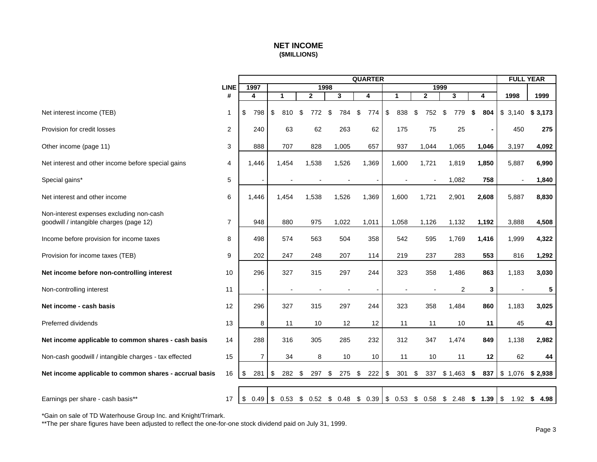# **NET INCOME (\$MILLIONS)**

<span id="page-4-0"></span>

|                                                                                     |                |                        |                          |                          |                    | <b>QUARTER</b> |           |                |                                               |           | <b>FULL YEAR</b> |              |
|-------------------------------------------------------------------------------------|----------------|------------------------|--------------------------|--------------------------|--------------------|----------------|-----------|----------------|-----------------------------------------------|-----------|------------------|--------------|
|                                                                                     | <b>LINE</b>    | 1997                   |                          |                          | 1998               |                |           |                | 1999                                          |           |                  |              |
|                                                                                     | #              | 4                      | 1                        | $\mathbf{2}$             | 3                  | 4              | 1         | $\mathbf{2}$   | 3                                             | 4         | 1998             | 1999         |
| Net interest income (TEB)                                                           | $\mathbf{1}$   | \$<br>798              | \$<br>810                | \$<br>772                | \$<br>784          | \$<br>774      | \$<br>838 | 752<br>\$      | \$<br>779                                     | \$<br>804 | \$3,140          | 3,173<br>\$  |
| Provision for credit losses                                                         | 2              | 240                    | 63                       | 62                       | 263                | 62             | 175       | 75             | 25                                            |           | 450              | 275          |
| Other income (page 11)                                                              | 3              | 888                    | 707                      | 828                      | 1,005              | 657            | 937       | 1,044          | 1,065                                         | 1,046     | 3,197            | 4,092        |
| Net interest and other income before special gains                                  | 4              | 1,446                  | 1,454                    | 1,538                    | 1,526              | 1,369          | 1,600     | 1,721          | 1,819                                         | 1,850     | 5,887            | 6,990        |
| Special gains*                                                                      | 5              |                        |                          | $\overline{\phantom{a}}$ |                    |                |           | $\blacksquare$ | 1,082                                         | 758       |                  | 1,840        |
| Net interest and other income                                                       | 6              | 1,446                  | 1,454                    | 1,538                    | 1,526              | 1,369          | 1,600     | 1,721          | 2,901                                         | 2,608     | 5,887            | 8,830        |
| Non-interest expenses excluding non-cash<br>goodwill / intangible charges (page 12) | $\overline{7}$ | 948                    | 880                      | 975                      | 1,022              | 1,011          | 1,058     | 1,126          | 1,132                                         | 1,192     | 3,888            | 4,508        |
| Income before provision for income taxes                                            | 8              | 498                    | 574                      | 563                      | 504                | 358            | 542       | 595            | 1,769                                         | 1,416     | 1,999            | 4,322        |
| Provision for income taxes (TEB)                                                    | 9              | 202                    | 247                      | 248                      | 207                | 114            | 219       | 237            | 283                                           | 553       | 816              | 1,292        |
| Net income before non-controlling interest                                          | 10             | 296                    | 327                      | 315                      | 297                | 244            | 323       | 358            | 1,486                                         | 863       | 1,183            | 3,030        |
| Non-controlling interest                                                            | 11             |                        | $\overline{\phantom{a}}$ |                          |                    |                |           |                | $\overline{2}$                                | 3         |                  | 5            |
| Net income - cash basis                                                             | 12             | 296                    | 327                      | 315                      | 297                | 244            | 323       | 358            | 1,484                                         | 860       | 1,183            | 3,025        |
| Preferred dividends                                                                 | 13             | 8                      | 11                       | 10                       | 12                 | 12             | 11        | 11             | 10                                            | 11        | 45               | 43           |
| Net income applicable to common shares - cash basis                                 | 14             | 288                    | 316                      | 305                      | 285                | 232            | 312       | 347            | 1,474                                         | 849       | 1,138            | 2,982        |
| Non-cash goodwill / intangible charges - tax effected                               | 15             | $\overline{7}$         | 34                       | 8                        | 10                 | 10             | 11        | 10             | 11                                            | 12        | 62               | 44           |
| Net income applicable to common shares - accrual basis                              | 16             | \$<br>281              | \$<br>282                | \$<br>297                | \$<br>275          | \$<br>222      | \$<br>301 | \$<br>337      | \$1,463                                       | \$<br>837 | \$1,076          | \$2,938      |
|                                                                                     |                |                        |                          |                          |                    |                |           |                |                                               |           |                  |              |
| Earnings per share - cash basis**                                                   | 17             | $$0.49$ \ \$ 0.53 \ \$ |                          |                          | $0.52 \quad $0.48$ | \$0.39         |           |                | $\frac{1}{3}$ 0.53 \$ 0.58 \$ 2.48 \$ 1.39 \$ |           |                  | 1.92 \$ 4.98 |

\*Gain on sale of TD Waterhouse Group Inc. and Knight/Trimark.

\*\*The per share figures have been adjusted to reflect the one-for-one stock dividend paid on July 31, 1999.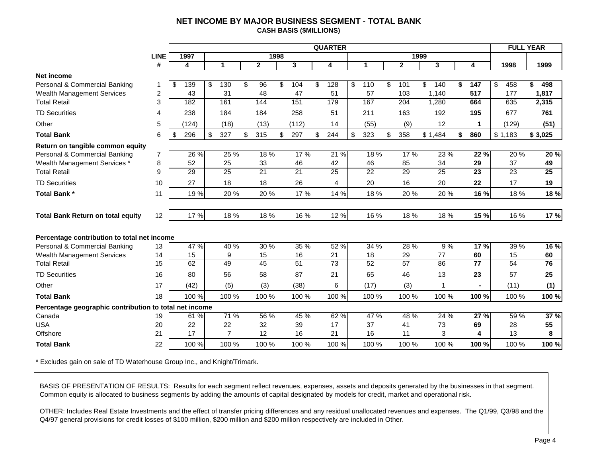## **NET INCOME BY MAJOR BUSINESS SEGMENT - TOTAL BANK CASH BASIS (\$MILLIONS)**

<span id="page-5-0"></span>

|                                                        |                |           |                |              |      |          | <b>QUARTER</b>        |                      |              |           |                        |         | <b>FULL YEAR</b> |            |          |
|--------------------------------------------------------|----------------|-----------|----------------|--------------|------|----------|-----------------------|----------------------|--------------|-----------|------------------------|---------|------------------|------------|----------|
|                                                        | <b>LINE</b>    | 1997      |                |              | 1998 |          |                       |                      |              | 1999      |                        |         |                  |            |          |
|                                                        | #              | 4         | $\mathbf{1}$   | $\mathbf{2}$ |      | 3        | 4                     | $\blacktriangleleft$ | $\mathbf{2}$ | 3         | 4                      |         | 1998             | 1999       |          |
| Net income                                             |                |           |                |              |      |          |                       |                      |              |           |                        |         |                  |            |          |
| Personal & Commercial Banking                          | 1              | \$<br>139 | \$<br>130      | \$<br>96     | \$   | 104      | \$<br>128             | \$<br>110            | \$<br>101    | \$<br>140 | \$<br>$\overline{147}$ | \$      | 458              | 498<br>\$. |          |
| <b>Wealth Management Services</b>                      | $\overline{2}$ | 43        | 31             | 48           |      | 47       | 51                    | 57                   | 103          | 1,140     | 517                    |         | 177              | 1,817      |          |
| <b>Total Retail</b>                                    | 3              | 182       | 161            | 144          |      | 151      | 179                   | 167                  | 204          | 1,280     | 664                    |         | 635              | 2,315      |          |
| <b>TD Securities</b>                                   | 4              | 238       | 184            | 184          |      | 258      | 51                    | 211                  | 163          | 192       | 195                    |         | 677              | 761        |          |
| Other                                                  | 5              | (124)     | (18)           | (13)         |      | (112)    | 14                    | (55)                 | (9)          | 12        |                        |         | (129)            |            | (51)     |
| <b>Total Bank</b>                                      | 6              | \$<br>296 | \$<br>327      | \$<br>315    | \$   | 297      | \$<br>244             | \$<br>323            | \$<br>358    | \$1,484   | \$<br>860              | \$1,183 |                  | \$3,025    |          |
| Return on tangible common equity                       |                |           |                |              |      |          |                       |                      |              |           |                        |         |                  |            |          |
| Personal & Commercial Banking                          | 7              | $26\%$    | 25 %           | 18 %         |      | 17 %     | 21 %                  | 18 %                 | 17 %         | 23 %      | 22 %                   |         | 20 %             |            | 20 %     |
| Wealth Management Services *                           | 8              | 52        | 25             | 33           |      | 46       | 42                    | 46                   | 85           | 34        | 29                     |         | 37               |            | 49       |
| <b>Total Retail</b>                                    | 9              | 29        | 25             | 21           |      | 21       | 25                    | 22                   | 29           | 25        | 23                     |         | 23               |            | 25       |
| <b>TD Securities</b>                                   | 10             | 27        | 18             | 18           |      | 26       | 4                     | 20                   | 16           | 20        | 22                     |         | 17               |            | 19       |
| Total Bank *                                           | 11             | 19 %      | 20 %           | 20%          |      | 17%      | 14 %                  | 18%                  | 20 %         | 20%       | 16 %                   |         | 18%              |            | 18 %     |
|                                                        |                |           |                |              |      |          |                       |                      |              |           |                        |         |                  |            |          |
| <b>Total Bank Return on total equity</b>               | 12             | 17 %      | 18 %           | 18%          |      | 16 %     | 12 %                  | 16 %                 | 18 %         | 18%       | 15 %                   |         | 16 %             |            | 17 %     |
|                                                        |                |           |                |              |      |          |                       |                      |              |           |                        |         |                  |            |          |
| Percentage contribution to total net income            |                |           |                |              |      |          |                       |                      |              |           |                        |         |                  |            |          |
| Personal & Commercial Banking                          | 13             | 47 %      | 40 %           | 30 %         |      | 35 %     | 52%                   | 34 %                 | 28 %         | 9%        | 17%                    |         | 39 %             |            | 16 %     |
| <b>Wealth Management Services</b>                      | 14             | 15        | 9<br>49        | 15           |      | 16<br>51 | 21<br>$\overline{73}$ | 18<br>52             | 29<br>57     | 77<br>86  | 60<br>$\overline{77}$  |         | 15               |            | 60<br>76 |
| <b>Total Retail</b>                                    | 15             | 62        |                | 45           |      |          |                       |                      |              |           |                        |         | 54               |            |          |
| <b>TD Securities</b>                                   | 16             | 80        | 56             | 58           |      | 87       | 21                    | 65                   | 46           | 13        | 23                     |         | 57               |            | 25       |
| Other                                                  | 17             | (42)      | (5)            | (3)          |      | (38)     | 6                     | (17)                 | (3)          |           |                        |         | (11)             |            | (1)      |
| <b>Total Bank</b>                                      | 18             | 100 %     | 100 %          | 100 %        |      | 100 %    | 100 %                 | 100 %                | 100 %        | 100 %     | 100 %                  |         | 100 %            |            | 100 %    |
| Percentage geographic contribution to total net income |                |           |                |              |      |          |                       |                      |              |           |                        |         |                  |            |          |
| Canada                                                 | 19             | 61 %      | 71 %           | 56 %         |      | 45 %     | 62%                   | 47 %                 | 48 %         | 24 %      | 27%                    |         | 59 %             |            | 37%      |
| USA                                                    | 20             | 22        | 22             | 32           |      | 39       | 17                    | 37                   | 41           | 73        | 69                     |         | 28               |            | 55       |
| Offshore                                               | 21             | 17        | $\overline{7}$ | 12           |      | 16       | 21                    | 16                   | 11           | 3         |                        |         | 13               |            | 8        |
| <b>Total Bank</b>                                      | 22             | 100 %     | 100 %          | 100 %        |      | 100 %    | 100 %                 | 100 %                | 100 %        | 100 %     | 100 %                  |         | 100 %            |            | 100 %    |

\* Excludes gain on sale of TD Waterhouse Group Inc., and Knight/Trimark.

BASIS OF PRESENTATION OF RESULTS: Results for each segment reflect revenues, expenses, assets and deposits generated by the businesses in that segment. Common equity is allocated to business segments by adding the amounts of capital designated by models for credit, market and operational risk.

OTHER: Includes Real Estate Investments and the effect of transfer pricing differences and any residual unallocated revenues and expenses. The Q1/99, Q3/98 and the Q4/97 general provisions for credit losses of \$100 million, \$200 million and \$200 million respectively are included in Other.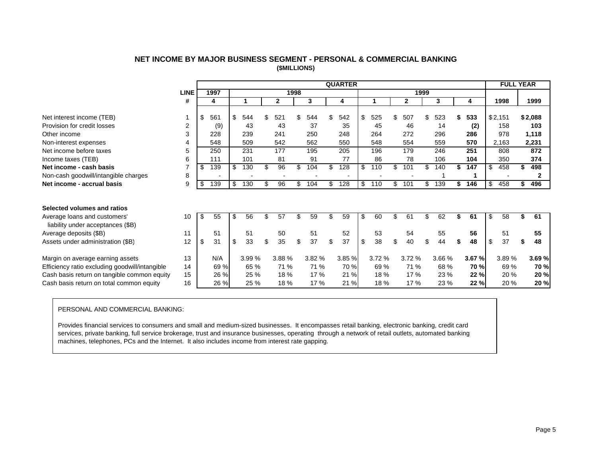|                                                |                |           |           |              |      |        |     | <b>QUARTER</b> |           |           |           |    |             |     | <b>FULL YEAR</b> |             |
|------------------------------------------------|----------------|-----------|-----------|--------------|------|--------|-----|----------------|-----------|-----------|-----------|----|-------------|-----|------------------|-------------|
|                                                | <b>LINE</b>    | 1997      |           |              | 1998 |        |     |                |           | 1999      |           |    |             |     |                  |             |
|                                                | #              | 4         |           | $\mathbf{2}$ |      | 3      |     | 4              |           | 2         | 3         |    |             |     | 1998             | 1999        |
|                                                |                |           |           |              |      |        |     |                |           |           |           |    |             |     |                  |             |
| Net interest income (TEB)                      |                | \$<br>561 | \$<br>544 | \$<br>521    |      | 544    | \$. | 542            | \$<br>525 | \$<br>507 | \$<br>523 | S  | 533         |     | \$2,151          | \$2,088     |
| Provision for credit losses                    | $\overline{2}$ | (9)       | 43        | 43           |      | 37     |     | 35             | 45        | 46        | 14        |    | (2)         |     | 158              | 103         |
| Other income                                   | 3              | 228       | 239       | 241          |      | 250    |     | 248            | 264       | 272       | 296       |    | 286         |     | 978              | 1,118       |
| Non-interest expenses                          | 4              | 548       | 509       | 542          |      | 562    |     | 550            | 548       | 554       | 559       |    | 570         |     | 2,163            | 2,231       |
| Net income before taxes                        | 5              | 250       | 231       | 177          |      | 195    |     | 205            | 196       | 179       | 246       |    | 251         |     | 808              | 872         |
| Income taxes (TEB)                             | 6              | 111       | 101       | 81           |      | 91     |     | 77             | 86        | 78        | 106       |    | 104         |     | 350              | 374         |
| Net income - cash basis                        | 7              | \$<br>139 | \$<br>130 | \$<br>96     | \$   | 104    | \$  | 128            | \$<br>110 | \$<br>101 | \$<br>140 | \$ | 147         | -\$ | 458              | 498         |
| Non-cash goodwill/intangible charges           | 8              |           |           |              |      |        |     |                |           |           |           |    | и           |     |                  | 2           |
| Net income - accrual basis                     | 9              | \$<br>139 | \$<br>130 | 96           | \$   | 104    | \$  | 128            | \$<br>110 | \$<br>101 | \$<br>139 | \$ | 146         | -\$ | 458              | 496         |
|                                                |                |           |           |              |      |        |     |                |           |           |           |    |             |     |                  |             |
|                                                |                |           |           |              |      |        |     |                |           |           |           |    |             |     |                  |             |
| Selected volumes and ratios                    |                |           |           |              |      |        |     |                |           |           |           |    |             |     |                  |             |
| Average loans and customers'                   | 10             | \$<br>55  | \$<br>56  | \$<br>57     |      | 59     | \$  | 59             | \$<br>60  | \$<br>61  | \$<br>62  |    | 61          | \$  | 58               | 61          |
| liability under acceptances (\$B)              |                |           |           |              |      |        |     |                |           |           |           |    |             |     |                  |             |
| 11<br>Average deposits (\$B)                   |                | 51        | 51        | 50           |      | 51     |     | 52             | 53        | 54        | 55        |    | 56          |     | 51               | 55          |
| Assets under administration (\$B)              | 12             | \$<br>31  | \$<br>33  | \$<br>35     | \$   | 37     | \$  | 37             | \$<br>38  | \$<br>40  | \$<br>44  | \$ | 48          | -\$ | 37               | \$<br>48    |
|                                                |                |           |           |              |      |        |     |                |           |           |           |    |             |     |                  |             |
| Margin on average earning assets               | 13             | N/A       | 3.99 %    | 3.88%        |      | 3.82 % |     | 3.85 %         | 3.72%     | 3.72 %    | 3.66 %    |    | 3.67 %      |     | 3.89%            | 3.69%       |
| Efficiency ratio excluding goodwill/intangible | 14             | 69 %      | 65 %      | 71 %         |      | 71 %   |     | 70 %           | 69 %      | 71 %      | 68 %      |    | <b>70 %</b> |     | 69 %             | <b>70 %</b> |
| Cash basis return on tangible common equity    | 15             | 26 %      | 25 %      | 18%          |      | 17 %   |     | 21 %           | 18 %      | 17%       | 23 %      |    | 22%         |     | 20 %             | 20 %        |
| Cash basis return on total common equity       | 16             | 26 %      | 25 %      | 18 %         |      | 17 %   |     | 21 %           | 18 %      | 17 %      | 23 %      |    | 22 %        |     | 20 %             | 20 %        |
|                                                |                |           |           |              |      |        |     |                |           |           |           |    |             |     |                  |             |

# **NET INCOME BY MAJOR BUSINESS SEGMENT - PERSONAL & COMMERCIAL BANKING (\$MILLIONS)**

#### PERSONAL AND COMMERCIAL BANKING:

Provides financial services to consumers and small and medium-sized businesses. It encompasses retail banking, electronic banking, credit card services, private banking, full service brokerage, trust and insurance businesses, operating through a network of retail outlets, automated banking machines, telephones, PCs and the Internet. It also includes income from interest rate gapping.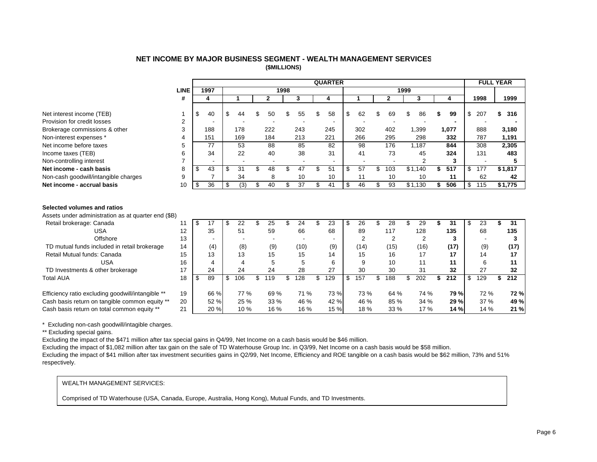#### **NET INCOME BY MAJOR BUSINESS SEGMENT - WEALTH MANAGEMENT SERVICES (\$MILLIONS)**

<span id="page-7-0"></span>

|                                                                                    |      |                       |      |      |                          |      |                          |     | <b>QUARTER</b> |                          |                          |      |                |           | <b>FULL YEAR</b> |           |
|------------------------------------------------------------------------------------|------|-----------------------|------|------|--------------------------|------|--------------------------|-----|----------------|--------------------------|--------------------------|------|----------------|-----------|------------------|-----------|
|                                                                                    | LINE | 1997                  |      |      |                          | 1998 |                          |     |                |                          |                          | 1999 |                |           |                  |           |
|                                                                                    | #    | 4                     |      | 4    | $\overline{2}$           |      | 3                        |     | 4              |                          | $\overline{2}$           |      | 3              | 4         | 1998             | 1999      |
|                                                                                    |      |                       |      |      |                          |      |                          |     |                |                          |                          |      |                |           |                  |           |
| Net interest income (TEB)                                                          |      | \$<br>40              | \$   | 44   | 50                       | \$   | 55                       |     | 58             | \$<br>62                 | \$<br>69                 | \$   | 86             | 99        | \$<br>207        | 316       |
| Provision for credit losses                                                        | 2    |                       |      |      |                          |      |                          |     |                |                          |                          |      |                |           |                  |           |
| Brokerage commissions & other                                                      | 3    | 188                   |      | 178  | 222                      |      | 243                      |     | 245            | 302                      | 402                      |      | 1,399          | 1.077     | 888              | 3,180     |
| Non-interest expenses *                                                            | 4    | 151                   |      | 169  | 184                      |      | 213                      |     | 221            | 266                      | 295                      |      | 298            | 332       | 787              | 1,191     |
| Net income before taxes                                                            | 5    | 77                    |      | 53   | 88                       |      | 85                       |     | 82             | 98                       | 176                      |      | 1.187          | 844       | 308              | 2,305     |
| Income taxes (TEB)                                                                 | 6    | 34                    |      | 22   | 40                       |      | 38                       |     | 31             | 41                       | 73                       |      | 45             | 324       | 131              | 483       |
| Non-controlling interest                                                           | 7    |                       |      |      | $\overline{\phantom{a}}$ |      | $\overline{\phantom{a}}$ |     | $\blacksquare$ | $\overline{\phantom{a}}$ | $\overline{\phantom{a}}$ |      | $\overline{2}$ | 3         |                  | 5         |
| Net income - cash basis                                                            | 8    | \$<br>43              | -\$  | 31   | \$<br>48                 | \$   | 47                       | \$  | 51             | \$<br>57                 | \$<br>103                |      | \$1.140        | \$<br>517 | \$<br>177        | \$1,817   |
| Non-cash goodwill/intangible charges                                               | 9    |                       |      | 34   | 8                        |      | 10                       |     | 10             | 11                       | 10                       |      | 10             | 11        | 62               | 42        |
| Net income - accrual basis                                                         | 10   | \$<br>$\overline{36}$ | - \$ | (3)  | \$<br>40                 | \$   | $\overline{37}$          | \$  | 41             | \$<br>46                 | \$<br>$\overline{93}$    |      | \$1,130        | \$<br>506 | \$<br>115        | \$1,775   |
| Selected volumes and ratios<br>Assets under administration as at quarter end (\$B) |      |                       |      |      |                          |      |                          |     |                |                          |                          |      |                |           |                  |           |
| Retail brokerage: Canada                                                           | 11   | \$<br>17              | \$   | 22   | \$<br>25                 | \$   | 24                       | \$  | 23             | \$<br>26                 | \$<br>28                 | \$   | 29             | \$<br>31  | \$<br>23         | \$<br>31  |
| <b>USA</b>                                                                         | 12   | 35                    |      | 51   | 59                       |      | 66                       |     | 68             | 89                       | 117                      |      | 128            | 135       | 68               | 135       |
| Offshore                                                                           | 13   |                       |      |      |                          |      |                          |     |                | $\overline{2}$           | $\overline{2}$           |      | 2              | 3         |                  | 3         |
| TD mutual funds included in retail brokerage                                       | 14   | (4)                   |      | (8)  | (9)                      |      | (10)                     |     | (9)            | (14)                     | (15)                     |      | (16)           | (17)      | (9)              | (17)      |
| Retail Mutual funds: Canada                                                        | 15   | 13                    |      | 13   | 15                       |      | 15                       |     | 14             | 15                       | 16                       |      | 17             | 17        | 14               | 17        |
| <b>USA</b>                                                                         | 16   | 4                     |      | 4    | 5                        |      | 5                        |     | 6              | 9                        | 10                       |      | 11             | 11        | 6                | 11        |
| TD Investments & other brokerage                                                   | 17   | 24                    |      | 24   | 24                       |      | 28                       |     | 27             | 30                       | 30                       |      | 31             | 32        | 27               | 32        |
| <b>Total AUA</b>                                                                   | 18   | \$<br>89              | \$   | 106  | \$<br>119                | \$   | 128                      | \$. | 129            | \$<br>157                | \$<br>188                | \$   | 202            | \$<br>212 | \$<br>129        | \$<br>212 |
| Efficiency ratio excluding goodwill/intangible **                                  | 19   | 66 %                  |      | 77 % | 69%                      |      | 71 %                     |     | 73 %           | 73 %                     | 64 %                     |      | 74 %           | 79 %      | 72 %             | 72%       |
| Cash basis return on tangible common equity **                                     | 20   | 52 %                  |      | 25 % | 33 %                     |      | 46 %                     |     | 42 %           | 46 %                     | 85 %                     |      | 34 %           | 29 %      | 37 %             | 49 %      |
| Cash basis return on total common equity **                                        | 21   | 20 %                  |      | 10 % | 16 %                     |      | 16 %                     |     | 15 %           | 18%                      | 33 %                     |      | 17 %           | 14 %      | 14 %             | 21 %      |

\* Excluding non-cash goodwill/intagible charges.

\*\* Excluding special gains.

Excluding the impact of the \$471 million after tax special gains in Q4/99, Net Income on a cash basis would be \$46 million.

Excluding the impact of \$1,082 million after tax gain on the sale of TD Waterhouse Group Inc. in Q3/99, Net Income on a cash basis would be \$58 million.

Excluding the impact of \$41 million after tax investment securities gains in Q2/99, Net Income, Efficiency and ROE tangible on a cash basis would be \$62 million, 73% and 51% respectively.

#### WEALTH MANAGEMENT SERVICES:

Comprised of TD Waterhouse (USA, Canada, Europe, Australia, Hong Kong), Mutual Funds, and TD Investments.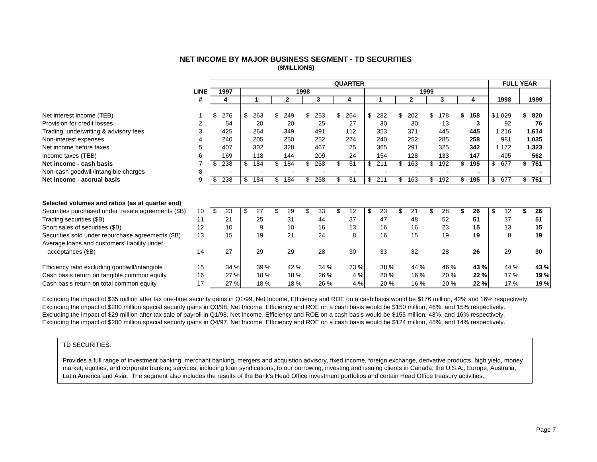#### **NET INCOME BY MAJOR BUSINESS SEGMENT - TD SECURITIES (\$MILLIONS)**

<span id="page-8-0"></span>

|                                                    |             |    |      |    |      |     |              |      |      | <b>QUARTER</b> |           |     |              |      |      |    |      | <b>FULL YEAR</b> |           |
|----------------------------------------------------|-------------|----|------|----|------|-----|--------------|------|------|----------------|-----------|-----|--------------|------|------|----|------|------------------|-----------|
|                                                    | <b>LINE</b> |    | 1997 |    |      |     |              | 1998 |      |                |           |     |              | 1999 |      |    |      |                  |           |
|                                                    | #           |    | 4    |    |      |     | $\mathbf{2}$ |      | 3    | 4              |           |     | $\mathbf{2}$ |      | 3    |    | 4    | 1998             | 1999      |
|                                                    |             |    |      |    |      |     |              |      |      |                |           |     |              |      |      |    |      |                  |           |
| Net interest income (TEB)                          |             | \$ | 276  | \$ | 263  | \$  | 249          | \$   | 253  | \$<br>264      | \$<br>282 | \$  | 202          | \$   | 178  | S  | 158  | \$1,029          | 820       |
| Provision for credit losses                        | 2           |    | 54   |    | 20   |     | 20           |      | 25   | 27             | 30        |     | 30           |      | 13   |    | 3    | 92               | 76        |
| Trading, underwriting & advisory fees              | 3           |    | 425  |    | 264  |     | 349          |      | 491  | 112            | 353       |     | 371          |      | 445  |    | 445  | 1,216            | 1,614     |
| Non-interest expenses                              |             |    | 240  |    | 205  |     | 250          |      | 252  | 274            | 240       |     | 252          |      | 285  |    | 258  | 981              | 1,035     |
| Net income before taxes                            | 5           |    | 407  |    | 302  |     | 328          |      | 467  | 75             | 365       |     | 291          |      | 325  |    | 342  | 1,172            | 1,323     |
| Income taxes (TEB)                                 | 6           |    | 169  |    | 118  |     | 144          |      | 209  | 24             | 154       |     | 128          |      | 133  |    | 147  | 495              | 562       |
| Net income - cash basis                            |             | S. | 238  | S  | 184  |     | 184          |      | 258  | \$<br>51       | \$<br>211 |     | 163          | \$   | 192  |    | 195  | \$<br>677        | 761       |
| Non-cash goodwill/intangible charges               | 8           |    |      |    |      |     |              |      |      |                |           |     |              |      |      |    |      |                  |           |
| Net income - accrual basis                         | 9           | \$ | 238  | \$ | 184  | \$. | 184          | \$   | 258  | \$<br>51       | \$<br>211 | \$. | 163          | \$   | 192  | \$ | 195  | \$<br>677        | \$<br>761 |
| Selected volumes and ratios (as at quarter end)    |             |    |      |    |      |     |              |      |      |                |           |     |              |      |      |    |      |                  |           |
| Securities purchased under resale agreements (\$B) | 10          | \$ | 23   | S  | 27   |     | 29           |      | 33   | \$<br>12       | \$<br>23  | ዳ   | 21           | \$   | 28   |    | 26   | \$<br>12         | 26        |
| Trading securities (\$B)                           | 11          |    | 21   |    | 25   |     | 31           |      | 44   | 37             | 47        |     | 48           |      | 52   |    | 51   | 37               | 51        |
| Short sales of securities (\$B)                    | 12          |    | 10   |    | 9    |     | 10           |      | 16   | 13             | 16        |     | 16           |      | 23   |    | 15   | 13               | 15        |
| Securities sold under repurchase agreements (\$B)  | 13          |    | 15   |    | 19   |     | 21           |      | 24   | 8              | 16        |     | 15           |      | 19   |    | 19   | 8                | 19        |
| Average loans and customers' liability under       | 14          |    | 27   |    | 29   |     | 29           |      | 28   | 30             |           |     | 32           |      | 28   |    | 26   | 29               | 30        |
| acceptances (\$B)                                  |             |    |      |    |      |     |              |      |      |                | 33        |     |              |      |      |    |      |                  |           |
| Efficiency ratio excluding goodwill/intangible     | 15          |    | 34 % |    | 39 % |     | 42 %         |      | 34 % | 73 %           | 38 %      |     | 44 %         |      | 46 % |    | 43 % | 44 %             | 43 %      |
| Cash basis return on tangible common equity        | 16          |    | 27 % |    | 18 % |     | 18 %         |      | 26 % | 4 %            | 20 %      |     | 16 %         |      | 20 % |    | 22 % | 17 %             | 19 %      |
| Cash basis return on total common equity           | 17          |    | 27 % |    | 18 % |     | 18 %         |      | 26 % | 4 %            | 20 %      |     | 16 %         |      | 20%  |    | 22 % | 17%              | 19 %      |

Excluding the impact of \$35 million after tax one-time security gains in Q1/99, Net Income, Efficiency and ROE on a cash basis would be \$176 million, 42% and 16% respectively. Excluding the impact of \$200 million special security gains in Q3/98, Net Income, Efficiency and ROE on a cash basis would be \$150 million, 46%, and 15% respectively. Excluding the impact of \$29 million after tax sale of payroll in Q1/98, Net Income, Efficiency and ROE on a cash basis would be \$155 million, 43%, and 16% respectively. Excluding the impact of \$200 million special security gains in Q4/97, Net Income, Efficiency and ROE on a cash basis would be \$124 million, 48%, and 14% respectively.

#### TD SECURITIES:

Provides a full range of investment banking, merchant banking, mergers and acquistion advisory, fixed income, foreign exchange, derivative products, high yield, money market, equities, and corporate banking services, including loan syndications, to our borrowing, investing and issuing clients in Canada, the U.S.A., Europe, Australia, Latin America and Asia. The segment also includes the results of the Bank's Head Office investment portfolios and certain Head Office treasury activities.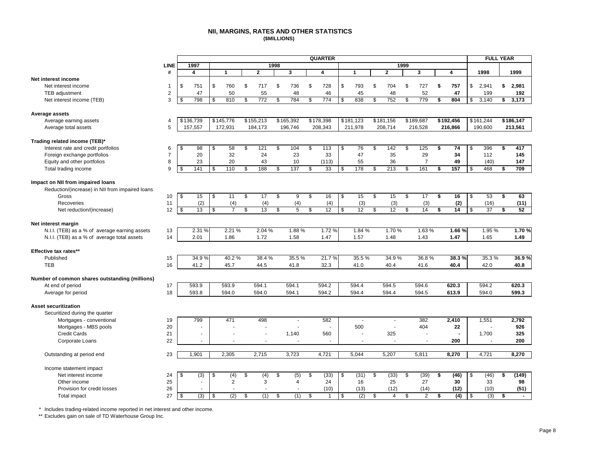#### **NII, MARGINS, RATES AND OTHER STATISTICS (\$MILLIONS)**

<span id="page-9-0"></span>

| <b>LINE</b><br>1997<br>1998<br>1999<br>#<br>4<br>$\mathbf{2}$<br>3<br>$\mathbf{2}$<br>3<br>4<br>1998<br>1999<br>1<br>4<br>$\mathbf 1$<br>\$<br>\$<br>\$<br>\$<br>\$<br>Net interest income<br>\$<br>751<br>760<br>S.<br>717<br>\$<br>736<br>728<br>793<br>704<br>\$<br>727<br>\$<br>757<br>2,941<br>\$<br>2,981<br>1<br>$\mathbf 2$<br>50<br>55<br>52<br>47<br>48<br>45<br>48<br>47<br>199<br>TEB adjustment<br>46<br>192<br>$\overline{772}$<br>784<br>838<br>752<br>3<br>\$<br>798<br>\$<br>810<br>\$<br>774<br>\$<br>779<br>804<br>3,140<br>3,173<br>\$<br>\$<br>\$<br>\$<br>\$<br>Net interest income (TEB)<br>\$<br>\$<br>Average assets<br>\$145,776<br>\$155,213<br>\$165,392<br>\$178,398<br>\$181,123<br>\$181,156<br>\$189,687<br>\$192,456<br>\$186,147<br>\$136,739<br>\$161,244<br>Average earning assets<br>$\overline{4}$<br>5<br>157,557<br>172,931<br>184,173<br>196,746<br>208,343<br>211,978<br>208,714<br>216,528<br>216,866<br>190,600<br>213,561<br>Average total assets<br>58<br>\$<br>121<br>\$<br>104<br>\$<br>113<br>76<br>\$<br>142<br>\$<br>125<br>74<br>396<br>417<br>Interest rate and credit portfolios<br>6<br>\$<br>98<br>\$<br>\$<br>\$<br>\$<br>\$<br>$\overline{7}$<br>29<br>20<br>32<br>24<br>23<br>35<br>Foreign exchange portfolios<br>33<br>47<br>34<br>112<br>145<br>Equity and other portfolios<br>8<br>23<br>20<br>43<br>10<br>55<br>36<br>49<br>147<br>(113)<br>7<br>(40)<br>110<br>188<br>213<br>9<br>141<br>137<br>33<br>178<br>161<br>157<br>468<br>709<br>Total trading income<br>\$<br>\$<br>\$<br>\$<br>\$<br>\$<br>\$<br>\$<br>\$<br>\$<br>\$<br>Impact on NII from impaired loans<br>Reduction/(increase) in NII from impaired loans<br>s,<br>$\frac{1}{2}$<br>11<br>s,<br>17<br>s,<br>s,<br>16<br>$\sqrt{3}$<br>15<br>\$<br>15<br>s,<br>17<br>$\overline{\boldsymbol{s}}$<br>16<br>$\overline{\mathcal{S}}$<br>53<br>$\overline{\mathbf{5}}$<br>63<br>Gross<br>10<br>15<br>9<br>11<br>(2)<br>(4)<br>(4)<br>(4)<br>(3)<br>(3)<br>(3)<br>(2)<br>(16)<br>(11)<br>Recoveries<br>(4)<br>12<br>52<br>12<br>\$<br>13<br>\$<br>\$<br>13<br>\$<br>5<br>\$<br>12<br>\$<br>\$<br>12<br>\$<br>14<br>\$<br>14<br>\$<br>37<br>\$<br>Net reduction/(increase)<br>Net interest margin<br>1.88%<br>1.70%<br>N.I.I. (TEB) as a % of average earning assets<br>2.31 %<br>2.21 %<br>2.04 %<br>1.72 %<br>1.84 %<br>1.70%<br>1.63%<br>1.66%<br>1.95%<br>13<br>N.I.I. (TEB) as a % of average total assets<br>14<br>2.01<br>1.86<br>1.72<br>1.58<br>1.47<br>1.57<br>1.48<br>1.43<br>1.47<br>1.65<br>1.49<br>40.2%<br>38.4 %<br>35.5%<br>21.7%<br>35.5%<br>34.9%<br>36.8%<br>38.3%<br>35.3%<br>36.9%<br>Published<br>15<br>34.9%<br>41.2<br><b>TEB</b><br>16<br>45.7<br>44.5<br>41.8<br>32.3<br>41.0<br>40.4<br>41.6<br>40.4<br>42.0<br>40.8<br>Number of common shares outstanding (millions)<br>593.9<br>594.5<br>At end of period<br>17<br>593.9<br>594.1<br>594.1<br>594.2<br>594.4<br>594.6<br>620.3<br>594.2<br>620.3<br>18<br>593.8<br>594.0<br>594.0<br>594.1<br>594.2<br>594.4<br>594.4<br>594.5<br>613.9<br>594.0<br>599.3<br>Average for period<br>Securitized during the quarter<br>799<br>471<br>498<br>382<br>2,410<br>1,551<br>2,792<br>Mortgages - conventional<br>19<br>582<br>÷,<br>$\overline{\phantom{a}}$<br>$\overline{\phantom{a}}$<br>Mortgages - MBS pools<br>20<br>500<br>404<br>22<br>926<br>ä,<br><b>Credit Cards</b><br>21<br>1,140<br>325<br>1,700<br>325<br>560<br>ä,<br>Ĭ.<br>Ĭ.<br>$\blacksquare$<br>٠<br>٠<br>Corporate Loans<br>22<br>200<br>200<br>1,901<br>2,305<br>2,715<br>3,723<br>4,721<br>5,044<br>5,207<br>5,811<br>8,270<br>4,721<br>8,270<br>Outstanding at period end<br>23<br>Income statement impact<br>\$<br>(4)<br>(5)<br>(33)<br>(31)<br>\$<br>(33)<br>(39)<br>(46)<br>(46)<br>(149)<br>Net interest income<br>24<br>(3)<br>\$<br>\$<br>(4)<br>\$<br>\$<br>\$<br>\$<br>\$<br>\$<br>\$<br>25<br>$\overline{2}$<br>3<br>24<br>25<br>27<br>30<br>33<br>Other income<br>$\overline{4}$<br>16<br>98<br>٠<br>26<br>(12)<br>(14)<br>(12)<br>(51)<br>Provision for credit losses<br>(10)<br>(13)<br>(10) |                               |    |     |     |     |     | <b>QUARTER</b> |     |    |  |     | <b>FULL YEAR</b> |  |
|----------------------------------------------------------------------------------------------------------------------------------------------------------------------------------------------------------------------------------------------------------------------------------------------------------------------------------------------------------------------------------------------------------------------------------------------------------------------------------------------------------------------------------------------------------------------------------------------------------------------------------------------------------------------------------------------------------------------------------------------------------------------------------------------------------------------------------------------------------------------------------------------------------------------------------------------------------------------------------------------------------------------------------------------------------------------------------------------------------------------------------------------------------------------------------------------------------------------------------------------------------------------------------------------------------------------------------------------------------------------------------------------------------------------------------------------------------------------------------------------------------------------------------------------------------------------------------------------------------------------------------------------------------------------------------------------------------------------------------------------------------------------------------------------------------------------------------------------------------------------------------------------------------------------------------------------------------------------------------------------------------------------------------------------------------------------------------------------------------------------------------------------------------------------------------------------------------------------------------------------------------------------------------------------------------------------------------------------------------------------------------------------------------------------------------------------------------------------------------------------------------------------------------------------------------------------------------------------------------------------------------------------------------------------------------------------------------------------------------------------------------------------------------------------------------------------------------------------------------------------------------------------------------------------------------------------------------------------------------------------------------------------------------------------------------------------------------------------------------------------------------------------------------------------------------------------------------------------------------------------------------------------------------------------------------------------------------------------------------------------------------------------------------------------------------------------------------------------------------------------------------------------------------------------------------------------------------------------------------------------------------------------------------------------------------------------------------------------------------------------------------------------------------------------------------------------------------------------------------------------------------------------------------------------------------------------------------------------------------------------------------------------------------------------------------------------------------|-------------------------------|----|-----|-----|-----|-----|----------------|-----|----|--|-----|------------------|--|
|                                                                                                                                                                                                                                                                                                                                                                                                                                                                                                                                                                                                                                                                                                                                                                                                                                                                                                                                                                                                                                                                                                                                                                                                                                                                                                                                                                                                                                                                                                                                                                                                                                                                                                                                                                                                                                                                                                                                                                                                                                                                                                                                                                                                                                                                                                                                                                                                                                                                                                                                                                                                                                                                                                                                                                                                                                                                                                                                                                                                                                                                                                                                                                                                                                                                                                                                                                                                                                                                                                                                                                                                                                                                                                                                                                                                                                                                                                                                                                                                                                                                                  |                               |    |     |     |     |     |                |     |    |  |     |                  |  |
|                                                                                                                                                                                                                                                                                                                                                                                                                                                                                                                                                                                                                                                                                                                                                                                                                                                                                                                                                                                                                                                                                                                                                                                                                                                                                                                                                                                                                                                                                                                                                                                                                                                                                                                                                                                                                                                                                                                                                                                                                                                                                                                                                                                                                                                                                                                                                                                                                                                                                                                                                                                                                                                                                                                                                                                                                                                                                                                                                                                                                                                                                                                                                                                                                                                                                                                                                                                                                                                                                                                                                                                                                                                                                                                                                                                                                                                                                                                                                                                                                                                                                  |                               |    |     |     |     |     |                |     |    |  |     |                  |  |
|                                                                                                                                                                                                                                                                                                                                                                                                                                                                                                                                                                                                                                                                                                                                                                                                                                                                                                                                                                                                                                                                                                                                                                                                                                                                                                                                                                                                                                                                                                                                                                                                                                                                                                                                                                                                                                                                                                                                                                                                                                                                                                                                                                                                                                                                                                                                                                                                                                                                                                                                                                                                                                                                                                                                                                                                                                                                                                                                                                                                                                                                                                                                                                                                                                                                                                                                                                                                                                                                                                                                                                                                                                                                                                                                                                                                                                                                                                                                                                                                                                                                                  | Net interest income           |    |     |     |     |     |                |     |    |  |     |                  |  |
|                                                                                                                                                                                                                                                                                                                                                                                                                                                                                                                                                                                                                                                                                                                                                                                                                                                                                                                                                                                                                                                                                                                                                                                                                                                                                                                                                                                                                                                                                                                                                                                                                                                                                                                                                                                                                                                                                                                                                                                                                                                                                                                                                                                                                                                                                                                                                                                                                                                                                                                                                                                                                                                                                                                                                                                                                                                                                                                                                                                                                                                                                                                                                                                                                                                                                                                                                                                                                                                                                                                                                                                                                                                                                                                                                                                                                                                                                                                                                                                                                                                                                  |                               |    |     |     |     |     |                |     |    |  |     |                  |  |
|                                                                                                                                                                                                                                                                                                                                                                                                                                                                                                                                                                                                                                                                                                                                                                                                                                                                                                                                                                                                                                                                                                                                                                                                                                                                                                                                                                                                                                                                                                                                                                                                                                                                                                                                                                                                                                                                                                                                                                                                                                                                                                                                                                                                                                                                                                                                                                                                                                                                                                                                                                                                                                                                                                                                                                                                                                                                                                                                                                                                                                                                                                                                                                                                                                                                                                                                                                                                                                                                                                                                                                                                                                                                                                                                                                                                                                                                                                                                                                                                                                                                                  |                               |    |     |     |     |     |                |     |    |  |     |                  |  |
|                                                                                                                                                                                                                                                                                                                                                                                                                                                                                                                                                                                                                                                                                                                                                                                                                                                                                                                                                                                                                                                                                                                                                                                                                                                                                                                                                                                                                                                                                                                                                                                                                                                                                                                                                                                                                                                                                                                                                                                                                                                                                                                                                                                                                                                                                                                                                                                                                                                                                                                                                                                                                                                                                                                                                                                                                                                                                                                                                                                                                                                                                                                                                                                                                                                                                                                                                                                                                                                                                                                                                                                                                                                                                                                                                                                                                                                                                                                                                                                                                                                                                  |                               |    |     |     |     |     |                |     |    |  |     |                  |  |
|                                                                                                                                                                                                                                                                                                                                                                                                                                                                                                                                                                                                                                                                                                                                                                                                                                                                                                                                                                                                                                                                                                                                                                                                                                                                                                                                                                                                                                                                                                                                                                                                                                                                                                                                                                                                                                                                                                                                                                                                                                                                                                                                                                                                                                                                                                                                                                                                                                                                                                                                                                                                                                                                                                                                                                                                                                                                                                                                                                                                                                                                                                                                                                                                                                                                                                                                                                                                                                                                                                                                                                                                                                                                                                                                                                                                                                                                                                                                                                                                                                                                                  |                               |    |     |     |     |     |                |     |    |  |     |                  |  |
|                                                                                                                                                                                                                                                                                                                                                                                                                                                                                                                                                                                                                                                                                                                                                                                                                                                                                                                                                                                                                                                                                                                                                                                                                                                                                                                                                                                                                                                                                                                                                                                                                                                                                                                                                                                                                                                                                                                                                                                                                                                                                                                                                                                                                                                                                                                                                                                                                                                                                                                                                                                                                                                                                                                                                                                                                                                                                                                                                                                                                                                                                                                                                                                                                                                                                                                                                                                                                                                                                                                                                                                                                                                                                                                                                                                                                                                                                                                                                                                                                                                                                  |                               |    |     |     |     |     |                |     |    |  |     |                  |  |
|                                                                                                                                                                                                                                                                                                                                                                                                                                                                                                                                                                                                                                                                                                                                                                                                                                                                                                                                                                                                                                                                                                                                                                                                                                                                                                                                                                                                                                                                                                                                                                                                                                                                                                                                                                                                                                                                                                                                                                                                                                                                                                                                                                                                                                                                                                                                                                                                                                                                                                                                                                                                                                                                                                                                                                                                                                                                                                                                                                                                                                                                                                                                                                                                                                                                                                                                                                                                                                                                                                                                                                                                                                                                                                                                                                                                                                                                                                                                                                                                                                                                                  |                               |    |     |     |     |     |                |     |    |  |     |                  |  |
|                                                                                                                                                                                                                                                                                                                                                                                                                                                                                                                                                                                                                                                                                                                                                                                                                                                                                                                                                                                                                                                                                                                                                                                                                                                                                                                                                                                                                                                                                                                                                                                                                                                                                                                                                                                                                                                                                                                                                                                                                                                                                                                                                                                                                                                                                                                                                                                                                                                                                                                                                                                                                                                                                                                                                                                                                                                                                                                                                                                                                                                                                                                                                                                                                                                                                                                                                                                                                                                                                                                                                                                                                                                                                                                                                                                                                                                                                                                                                                                                                                                                                  |                               |    |     |     |     |     |                |     |    |  |     |                  |  |
|                                                                                                                                                                                                                                                                                                                                                                                                                                                                                                                                                                                                                                                                                                                                                                                                                                                                                                                                                                                                                                                                                                                                                                                                                                                                                                                                                                                                                                                                                                                                                                                                                                                                                                                                                                                                                                                                                                                                                                                                                                                                                                                                                                                                                                                                                                                                                                                                                                                                                                                                                                                                                                                                                                                                                                                                                                                                                                                                                                                                                                                                                                                                                                                                                                                                                                                                                                                                                                                                                                                                                                                                                                                                                                                                                                                                                                                                                                                                                                                                                                                                                  | Trading related income (TEB)* |    |     |     |     |     |                |     |    |  |     |                  |  |
|                                                                                                                                                                                                                                                                                                                                                                                                                                                                                                                                                                                                                                                                                                                                                                                                                                                                                                                                                                                                                                                                                                                                                                                                                                                                                                                                                                                                                                                                                                                                                                                                                                                                                                                                                                                                                                                                                                                                                                                                                                                                                                                                                                                                                                                                                                                                                                                                                                                                                                                                                                                                                                                                                                                                                                                                                                                                                                                                                                                                                                                                                                                                                                                                                                                                                                                                                                                                                                                                                                                                                                                                                                                                                                                                                                                                                                                                                                                                                                                                                                                                                  |                               |    |     |     |     |     |                |     |    |  |     |                  |  |
|                                                                                                                                                                                                                                                                                                                                                                                                                                                                                                                                                                                                                                                                                                                                                                                                                                                                                                                                                                                                                                                                                                                                                                                                                                                                                                                                                                                                                                                                                                                                                                                                                                                                                                                                                                                                                                                                                                                                                                                                                                                                                                                                                                                                                                                                                                                                                                                                                                                                                                                                                                                                                                                                                                                                                                                                                                                                                                                                                                                                                                                                                                                                                                                                                                                                                                                                                                                                                                                                                                                                                                                                                                                                                                                                                                                                                                                                                                                                                                                                                                                                                  |                               |    |     |     |     |     |                |     |    |  |     |                  |  |
|                                                                                                                                                                                                                                                                                                                                                                                                                                                                                                                                                                                                                                                                                                                                                                                                                                                                                                                                                                                                                                                                                                                                                                                                                                                                                                                                                                                                                                                                                                                                                                                                                                                                                                                                                                                                                                                                                                                                                                                                                                                                                                                                                                                                                                                                                                                                                                                                                                                                                                                                                                                                                                                                                                                                                                                                                                                                                                                                                                                                                                                                                                                                                                                                                                                                                                                                                                                                                                                                                                                                                                                                                                                                                                                                                                                                                                                                                                                                                                                                                                                                                  |                               |    |     |     |     |     |                |     |    |  |     |                  |  |
|                                                                                                                                                                                                                                                                                                                                                                                                                                                                                                                                                                                                                                                                                                                                                                                                                                                                                                                                                                                                                                                                                                                                                                                                                                                                                                                                                                                                                                                                                                                                                                                                                                                                                                                                                                                                                                                                                                                                                                                                                                                                                                                                                                                                                                                                                                                                                                                                                                                                                                                                                                                                                                                                                                                                                                                                                                                                                                                                                                                                                                                                                                                                                                                                                                                                                                                                                                                                                                                                                                                                                                                                                                                                                                                                                                                                                                                                                                                                                                                                                                                                                  |                               |    |     |     |     |     |                |     |    |  |     |                  |  |
|                                                                                                                                                                                                                                                                                                                                                                                                                                                                                                                                                                                                                                                                                                                                                                                                                                                                                                                                                                                                                                                                                                                                                                                                                                                                                                                                                                                                                                                                                                                                                                                                                                                                                                                                                                                                                                                                                                                                                                                                                                                                                                                                                                                                                                                                                                                                                                                                                                                                                                                                                                                                                                                                                                                                                                                                                                                                                                                                                                                                                                                                                                                                                                                                                                                                                                                                                                                                                                                                                                                                                                                                                                                                                                                                                                                                                                                                                                                                                                                                                                                                                  |                               |    |     |     |     |     |                |     |    |  |     |                  |  |
|                                                                                                                                                                                                                                                                                                                                                                                                                                                                                                                                                                                                                                                                                                                                                                                                                                                                                                                                                                                                                                                                                                                                                                                                                                                                                                                                                                                                                                                                                                                                                                                                                                                                                                                                                                                                                                                                                                                                                                                                                                                                                                                                                                                                                                                                                                                                                                                                                                                                                                                                                                                                                                                                                                                                                                                                                                                                                                                                                                                                                                                                                                                                                                                                                                                                                                                                                                                                                                                                                                                                                                                                                                                                                                                                                                                                                                                                                                                                                                                                                                                                                  |                               |    |     |     |     |     |                |     |    |  |     |                  |  |
|                                                                                                                                                                                                                                                                                                                                                                                                                                                                                                                                                                                                                                                                                                                                                                                                                                                                                                                                                                                                                                                                                                                                                                                                                                                                                                                                                                                                                                                                                                                                                                                                                                                                                                                                                                                                                                                                                                                                                                                                                                                                                                                                                                                                                                                                                                                                                                                                                                                                                                                                                                                                                                                                                                                                                                                                                                                                                                                                                                                                                                                                                                                                                                                                                                                                                                                                                                                                                                                                                                                                                                                                                                                                                                                                                                                                                                                                                                                                                                                                                                                                                  |                               |    |     |     |     |     |                |     |    |  |     |                  |  |
|                                                                                                                                                                                                                                                                                                                                                                                                                                                                                                                                                                                                                                                                                                                                                                                                                                                                                                                                                                                                                                                                                                                                                                                                                                                                                                                                                                                                                                                                                                                                                                                                                                                                                                                                                                                                                                                                                                                                                                                                                                                                                                                                                                                                                                                                                                                                                                                                                                                                                                                                                                                                                                                                                                                                                                                                                                                                                                                                                                                                                                                                                                                                                                                                                                                                                                                                                                                                                                                                                                                                                                                                                                                                                                                                                                                                                                                                                                                                                                                                                                                                                  |                               |    |     |     |     |     |                |     |    |  |     |                  |  |
|                                                                                                                                                                                                                                                                                                                                                                                                                                                                                                                                                                                                                                                                                                                                                                                                                                                                                                                                                                                                                                                                                                                                                                                                                                                                                                                                                                                                                                                                                                                                                                                                                                                                                                                                                                                                                                                                                                                                                                                                                                                                                                                                                                                                                                                                                                                                                                                                                                                                                                                                                                                                                                                                                                                                                                                                                                                                                                                                                                                                                                                                                                                                                                                                                                                                                                                                                                                                                                                                                                                                                                                                                                                                                                                                                                                                                                                                                                                                                                                                                                                                                  |                               |    |     |     |     |     |                |     |    |  |     |                  |  |
|                                                                                                                                                                                                                                                                                                                                                                                                                                                                                                                                                                                                                                                                                                                                                                                                                                                                                                                                                                                                                                                                                                                                                                                                                                                                                                                                                                                                                                                                                                                                                                                                                                                                                                                                                                                                                                                                                                                                                                                                                                                                                                                                                                                                                                                                                                                                                                                                                                                                                                                                                                                                                                                                                                                                                                                                                                                                                                                                                                                                                                                                                                                                                                                                                                                                                                                                                                                                                                                                                                                                                                                                                                                                                                                                                                                                                                                                                                                                                                                                                                                                                  |                               |    |     |     |     |     |                |     |    |  |     |                  |  |
|                                                                                                                                                                                                                                                                                                                                                                                                                                                                                                                                                                                                                                                                                                                                                                                                                                                                                                                                                                                                                                                                                                                                                                                                                                                                                                                                                                                                                                                                                                                                                                                                                                                                                                                                                                                                                                                                                                                                                                                                                                                                                                                                                                                                                                                                                                                                                                                                                                                                                                                                                                                                                                                                                                                                                                                                                                                                                                                                                                                                                                                                                                                                                                                                                                                                                                                                                                                                                                                                                                                                                                                                                                                                                                                                                                                                                                                                                                                                                                                                                                                                                  |                               |    |     |     |     |     |                |     |    |  |     |                  |  |
|                                                                                                                                                                                                                                                                                                                                                                                                                                                                                                                                                                                                                                                                                                                                                                                                                                                                                                                                                                                                                                                                                                                                                                                                                                                                                                                                                                                                                                                                                                                                                                                                                                                                                                                                                                                                                                                                                                                                                                                                                                                                                                                                                                                                                                                                                                                                                                                                                                                                                                                                                                                                                                                                                                                                                                                                                                                                                                                                                                                                                                                                                                                                                                                                                                                                                                                                                                                                                                                                                                                                                                                                                                                                                                                                                                                                                                                                                                                                                                                                                                                                                  |                               |    |     |     |     |     |                |     |    |  |     |                  |  |
|                                                                                                                                                                                                                                                                                                                                                                                                                                                                                                                                                                                                                                                                                                                                                                                                                                                                                                                                                                                                                                                                                                                                                                                                                                                                                                                                                                                                                                                                                                                                                                                                                                                                                                                                                                                                                                                                                                                                                                                                                                                                                                                                                                                                                                                                                                                                                                                                                                                                                                                                                                                                                                                                                                                                                                                                                                                                                                                                                                                                                                                                                                                                                                                                                                                                                                                                                                                                                                                                                                                                                                                                                                                                                                                                                                                                                                                                                                                                                                                                                                                                                  |                               |    |     |     |     |     |                |     |    |  |     |                  |  |
|                                                                                                                                                                                                                                                                                                                                                                                                                                                                                                                                                                                                                                                                                                                                                                                                                                                                                                                                                                                                                                                                                                                                                                                                                                                                                                                                                                                                                                                                                                                                                                                                                                                                                                                                                                                                                                                                                                                                                                                                                                                                                                                                                                                                                                                                                                                                                                                                                                                                                                                                                                                                                                                                                                                                                                                                                                                                                                                                                                                                                                                                                                                                                                                                                                                                                                                                                                                                                                                                                                                                                                                                                                                                                                                                                                                                                                                                                                                                                                                                                                                                                  | Effective tax rates**         |    |     |     |     |     |                |     |    |  |     |                  |  |
|                                                                                                                                                                                                                                                                                                                                                                                                                                                                                                                                                                                                                                                                                                                                                                                                                                                                                                                                                                                                                                                                                                                                                                                                                                                                                                                                                                                                                                                                                                                                                                                                                                                                                                                                                                                                                                                                                                                                                                                                                                                                                                                                                                                                                                                                                                                                                                                                                                                                                                                                                                                                                                                                                                                                                                                                                                                                                                                                                                                                                                                                                                                                                                                                                                                                                                                                                                                                                                                                                                                                                                                                                                                                                                                                                                                                                                                                                                                                                                                                                                                                                  |                               |    |     |     |     |     |                |     |    |  |     |                  |  |
|                                                                                                                                                                                                                                                                                                                                                                                                                                                                                                                                                                                                                                                                                                                                                                                                                                                                                                                                                                                                                                                                                                                                                                                                                                                                                                                                                                                                                                                                                                                                                                                                                                                                                                                                                                                                                                                                                                                                                                                                                                                                                                                                                                                                                                                                                                                                                                                                                                                                                                                                                                                                                                                                                                                                                                                                                                                                                                                                                                                                                                                                                                                                                                                                                                                                                                                                                                                                                                                                                                                                                                                                                                                                                                                                                                                                                                                                                                                                                                                                                                                                                  |                               |    |     |     |     |     |                |     |    |  |     |                  |  |
|                                                                                                                                                                                                                                                                                                                                                                                                                                                                                                                                                                                                                                                                                                                                                                                                                                                                                                                                                                                                                                                                                                                                                                                                                                                                                                                                                                                                                                                                                                                                                                                                                                                                                                                                                                                                                                                                                                                                                                                                                                                                                                                                                                                                                                                                                                                                                                                                                                                                                                                                                                                                                                                                                                                                                                                                                                                                                                                                                                                                                                                                                                                                                                                                                                                                                                                                                                                                                                                                                                                                                                                                                                                                                                                                                                                                                                                                                                                                                                                                                                                                                  |                               |    |     |     |     |     |                |     |    |  |     |                  |  |
|                                                                                                                                                                                                                                                                                                                                                                                                                                                                                                                                                                                                                                                                                                                                                                                                                                                                                                                                                                                                                                                                                                                                                                                                                                                                                                                                                                                                                                                                                                                                                                                                                                                                                                                                                                                                                                                                                                                                                                                                                                                                                                                                                                                                                                                                                                                                                                                                                                                                                                                                                                                                                                                                                                                                                                                                                                                                                                                                                                                                                                                                                                                                                                                                                                                                                                                                                                                                                                                                                                                                                                                                                                                                                                                                                                                                                                                                                                                                                                                                                                                                                  |                               |    |     |     |     |     |                |     |    |  |     |                  |  |
|                                                                                                                                                                                                                                                                                                                                                                                                                                                                                                                                                                                                                                                                                                                                                                                                                                                                                                                                                                                                                                                                                                                                                                                                                                                                                                                                                                                                                                                                                                                                                                                                                                                                                                                                                                                                                                                                                                                                                                                                                                                                                                                                                                                                                                                                                                                                                                                                                                                                                                                                                                                                                                                                                                                                                                                                                                                                                                                                                                                                                                                                                                                                                                                                                                                                                                                                                                                                                                                                                                                                                                                                                                                                                                                                                                                                                                                                                                                                                                                                                                                                                  |                               |    |     |     |     |     |                |     |    |  |     |                  |  |
|                                                                                                                                                                                                                                                                                                                                                                                                                                                                                                                                                                                                                                                                                                                                                                                                                                                                                                                                                                                                                                                                                                                                                                                                                                                                                                                                                                                                                                                                                                                                                                                                                                                                                                                                                                                                                                                                                                                                                                                                                                                                                                                                                                                                                                                                                                                                                                                                                                                                                                                                                                                                                                                                                                                                                                                                                                                                                                                                                                                                                                                                                                                                                                                                                                                                                                                                                                                                                                                                                                                                                                                                                                                                                                                                                                                                                                                                                                                                                                                                                                                                                  |                               |    |     |     |     |     |                |     |    |  |     |                  |  |
|                                                                                                                                                                                                                                                                                                                                                                                                                                                                                                                                                                                                                                                                                                                                                                                                                                                                                                                                                                                                                                                                                                                                                                                                                                                                                                                                                                                                                                                                                                                                                                                                                                                                                                                                                                                                                                                                                                                                                                                                                                                                                                                                                                                                                                                                                                                                                                                                                                                                                                                                                                                                                                                                                                                                                                                                                                                                                                                                                                                                                                                                                                                                                                                                                                                                                                                                                                                                                                                                                                                                                                                                                                                                                                                                                                                                                                                                                                                                                                                                                                                                                  | <b>Asset securitization</b>   |    |     |     |     |     |                |     |    |  |     |                  |  |
|                                                                                                                                                                                                                                                                                                                                                                                                                                                                                                                                                                                                                                                                                                                                                                                                                                                                                                                                                                                                                                                                                                                                                                                                                                                                                                                                                                                                                                                                                                                                                                                                                                                                                                                                                                                                                                                                                                                                                                                                                                                                                                                                                                                                                                                                                                                                                                                                                                                                                                                                                                                                                                                                                                                                                                                                                                                                                                                                                                                                                                                                                                                                                                                                                                                                                                                                                                                                                                                                                                                                                                                                                                                                                                                                                                                                                                                                                                                                                                                                                                                                                  |                               |    |     |     |     |     |                |     |    |  |     |                  |  |
|                                                                                                                                                                                                                                                                                                                                                                                                                                                                                                                                                                                                                                                                                                                                                                                                                                                                                                                                                                                                                                                                                                                                                                                                                                                                                                                                                                                                                                                                                                                                                                                                                                                                                                                                                                                                                                                                                                                                                                                                                                                                                                                                                                                                                                                                                                                                                                                                                                                                                                                                                                                                                                                                                                                                                                                                                                                                                                                                                                                                                                                                                                                                                                                                                                                                                                                                                                                                                                                                                                                                                                                                                                                                                                                                                                                                                                                                                                                                                                                                                                                                                  |                               |    |     |     |     |     |                |     |    |  |     |                  |  |
|                                                                                                                                                                                                                                                                                                                                                                                                                                                                                                                                                                                                                                                                                                                                                                                                                                                                                                                                                                                                                                                                                                                                                                                                                                                                                                                                                                                                                                                                                                                                                                                                                                                                                                                                                                                                                                                                                                                                                                                                                                                                                                                                                                                                                                                                                                                                                                                                                                                                                                                                                                                                                                                                                                                                                                                                                                                                                                                                                                                                                                                                                                                                                                                                                                                                                                                                                                                                                                                                                                                                                                                                                                                                                                                                                                                                                                                                                                                                                                                                                                                                                  |                               |    |     |     |     |     |                |     |    |  |     |                  |  |
|                                                                                                                                                                                                                                                                                                                                                                                                                                                                                                                                                                                                                                                                                                                                                                                                                                                                                                                                                                                                                                                                                                                                                                                                                                                                                                                                                                                                                                                                                                                                                                                                                                                                                                                                                                                                                                                                                                                                                                                                                                                                                                                                                                                                                                                                                                                                                                                                                                                                                                                                                                                                                                                                                                                                                                                                                                                                                                                                                                                                                                                                                                                                                                                                                                                                                                                                                                                                                                                                                                                                                                                                                                                                                                                                                                                                                                                                                                                                                                                                                                                                                  |                               |    |     |     |     |     |                |     |    |  |     |                  |  |
|                                                                                                                                                                                                                                                                                                                                                                                                                                                                                                                                                                                                                                                                                                                                                                                                                                                                                                                                                                                                                                                                                                                                                                                                                                                                                                                                                                                                                                                                                                                                                                                                                                                                                                                                                                                                                                                                                                                                                                                                                                                                                                                                                                                                                                                                                                                                                                                                                                                                                                                                                                                                                                                                                                                                                                                                                                                                                                                                                                                                                                                                                                                                                                                                                                                                                                                                                                                                                                                                                                                                                                                                                                                                                                                                                                                                                                                                                                                                                                                                                                                                                  |                               |    |     |     |     |     |                |     |    |  |     |                  |  |
|                                                                                                                                                                                                                                                                                                                                                                                                                                                                                                                                                                                                                                                                                                                                                                                                                                                                                                                                                                                                                                                                                                                                                                                                                                                                                                                                                                                                                                                                                                                                                                                                                                                                                                                                                                                                                                                                                                                                                                                                                                                                                                                                                                                                                                                                                                                                                                                                                                                                                                                                                                                                                                                                                                                                                                                                                                                                                                                                                                                                                                                                                                                                                                                                                                                                                                                                                                                                                                                                                                                                                                                                                                                                                                                                                                                                                                                                                                                                                                                                                                                                                  |                               |    |     |     |     |     |                |     |    |  |     |                  |  |
|                                                                                                                                                                                                                                                                                                                                                                                                                                                                                                                                                                                                                                                                                                                                                                                                                                                                                                                                                                                                                                                                                                                                                                                                                                                                                                                                                                                                                                                                                                                                                                                                                                                                                                                                                                                                                                                                                                                                                                                                                                                                                                                                                                                                                                                                                                                                                                                                                                                                                                                                                                                                                                                                                                                                                                                                                                                                                                                                                                                                                                                                                                                                                                                                                                                                                                                                                                                                                                                                                                                                                                                                                                                                                                                                                                                                                                                                                                                                                                                                                                                                                  |                               |    |     |     |     |     |                |     |    |  |     |                  |  |
|                                                                                                                                                                                                                                                                                                                                                                                                                                                                                                                                                                                                                                                                                                                                                                                                                                                                                                                                                                                                                                                                                                                                                                                                                                                                                                                                                                                                                                                                                                                                                                                                                                                                                                                                                                                                                                                                                                                                                                                                                                                                                                                                                                                                                                                                                                                                                                                                                                                                                                                                                                                                                                                                                                                                                                                                                                                                                                                                                                                                                                                                                                                                                                                                                                                                                                                                                                                                                                                                                                                                                                                                                                                                                                                                                                                                                                                                                                                                                                                                                                                                                  |                               |    |     |     |     |     |                |     |    |  |     |                  |  |
|                                                                                                                                                                                                                                                                                                                                                                                                                                                                                                                                                                                                                                                                                                                                                                                                                                                                                                                                                                                                                                                                                                                                                                                                                                                                                                                                                                                                                                                                                                                                                                                                                                                                                                                                                                                                                                                                                                                                                                                                                                                                                                                                                                                                                                                                                                                                                                                                                                                                                                                                                                                                                                                                                                                                                                                                                                                                                                                                                                                                                                                                                                                                                                                                                                                                                                                                                                                                                                                                                                                                                                                                                                                                                                                                                                                                                                                                                                                                                                                                                                                                                  |                               |    |     |     |     |     |                |     |    |  |     |                  |  |
|                                                                                                                                                                                                                                                                                                                                                                                                                                                                                                                                                                                                                                                                                                                                                                                                                                                                                                                                                                                                                                                                                                                                                                                                                                                                                                                                                                                                                                                                                                                                                                                                                                                                                                                                                                                                                                                                                                                                                                                                                                                                                                                                                                                                                                                                                                                                                                                                                                                                                                                                                                                                                                                                                                                                                                                                                                                                                                                                                                                                                                                                                                                                                                                                                                                                                                                                                                                                                                                                                                                                                                                                                                                                                                                                                                                                                                                                                                                                                                                                                                                                                  |                               |    |     |     |     |     |                |     |    |  |     |                  |  |
| Total impact<br>\$<br>\$<br>\$<br>\$<br>\$<br>$\overline{4}$<br>\$<br>2<br>\$<br>\$<br>\$<br>$\mathbf 1$<br>$\blacksquare$                                                                                                                                                                                                                                                                                                                                                                                                                                                                                                                                                                                                                                                                                                                                                                                                                                                                                                                                                                                                                                                                                                                                                                                                                                                                                                                                                                                                                                                                                                                                                                                                                                                                                                                                                                                                                                                                                                                                                                                                                                                                                                                                                                                                                                                                                                                                                                                                                                                                                                                                                                                                                                                                                                                                                                                                                                                                                                                                                                                                                                                                                                                                                                                                                                                                                                                                                                                                                                                                                                                                                                                                                                                                                                                                                                                                                                                                                                                                                       |                               | 27 | (3) | (2) | (1) | (1) | \$             | (2) | \$ |  | (4) | (3)              |  |

\* Includes trading-related income reported in net interest and other income.

\*\* Excludes gain on sale of TD Waterhouse Group Inc.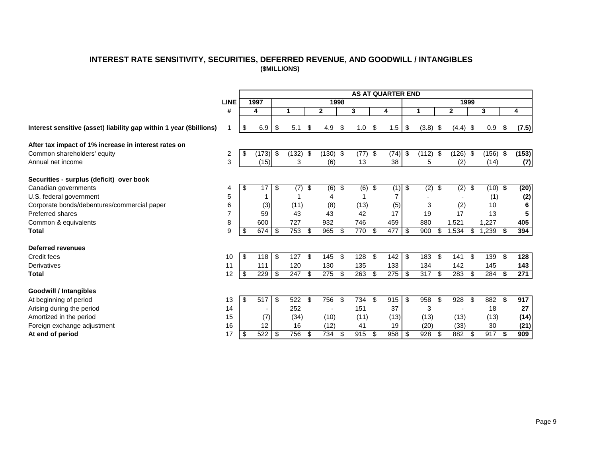# **INTEREST RATE SENSITIVITY, SECURITIES, DEFERRED REVENUE, AND GOODWILL / INTANGIBLES (\$MILLIONS)**

<span id="page-10-0"></span>

|                                                                     |             |     |       |     |              |                         |              |      |                  |                                  | <b>AS AT QUARTER END</b> |                  |                          |                |      |           |     |       |
|---------------------------------------------------------------------|-------------|-----|-------|-----|--------------|-------------------------|--------------|------|------------------|----------------------------------|--------------------------|------------------|--------------------------|----------------|------|-----------|-----|-------|
|                                                                     | <b>LINE</b> |     | 1997  |     |              |                         |              | 1998 |                  |                                  |                          |                  |                          |                | 1999 |           |     |       |
|                                                                     | #           |     | 4     |     | $\mathbf{1}$ |                         | $\mathbf{2}$ |      | 3                |                                  | 4                        | 1                |                          | $\mathbf{2}$   |      | 3         |     | 4     |
| Interest sensitive (asset) liability gap within 1 year (\$billions) |             | \$  | 6.9   | \$  | 5.1          | S                       | 4.9          | \$   | 1.0              | \$                               | 1.5                      | \$<br>$(3.8)$ \$ |                          | $(4.4)$ \$     |      | 0.9       | \$  | (7.5) |
| After tax impact of 1% increase in interest rates on                |             |     |       |     |              |                         |              |      |                  |                                  |                          |                  |                          |                |      |           |     |       |
| Common shareholders' equity                                         | 2           | \$  | (173) | -\$ | (132)        | \$                      | $(130)$ \$   |      | (77)             | \$                               | (74)                     | \$<br>(112)      | \$                       | (126)          | -\$  | (156)     | -\$ | (153) |
| Annual net income                                                   | 3           |     | (15)  |     | 3            |                         | (6)          |      | 13               |                                  | 38                       | 5                |                          | (2)            |      | (14)      |     | (7)   |
| Securities - surplus (deficit) over book                            |             |     |       |     |              |                         |              |      |                  |                                  |                          |                  |                          |                |      |           |     |       |
| Canadian governments                                                | 4           | \$  | 17    | \$  | (7)          | $\overline{\mathbf{e}}$ | $(6)$ \$     |      | $\overline{(6)}$ | $\overline{\boldsymbol{\theta}}$ | $(1)$ \$                 | $\overline{(2)}$ | $\overline{\mathcal{G}}$ | $\overline{2}$ | \$   | $(10)$ \$ |     | (20)  |
| U.S. federal government                                             | 5           |     |       |     |              |                         | 4            |      |                  |                                  | 7                        |                  |                          |                |      | (1)       |     | (2)   |
| Corporate bonds/debentures/commercial paper                         | 6           |     | (3)   |     | (11)         |                         | (8)          |      | (13)             |                                  | (5)                      | 3                |                          | (2)            |      | 10        |     | 6     |
| <b>Preferred shares</b>                                             |             |     | 59    |     | 43           |                         | 43           |      | 42               |                                  | 17                       | 19               |                          | 17             |      | 13        |     |       |
| Common & equivalents                                                | 8           |     | 600   |     | 727          |                         | 932          |      | 746              |                                  | 459                      | 880              |                          | 1,521          |      | 1,227     |     | 405   |
| <b>Total</b>                                                        | 9           | \$. | 674   | \$  | 753          | \$                      | 965          | \$   | 770              | \$                               | 477                      | \$<br>900        | \$                       | ,534           | \$   | ,239      | \$  | 394   |
| <b>Deferred revenues</b>                                            |             |     |       |     |              |                         |              |      |                  |                                  |                          |                  |                          |                |      |           |     |       |
| Credit fees                                                         | 10          | -\$ | 118   | \$  | 127S         |                         | 145          | -\$  | 128              | \$                               | 142                      | \$<br>183        | \$                       | 141            | \$   | 139       | -\$ | 128   |
| <b>Derivatives</b>                                                  | 11          |     | 111   |     | 120          |                         | 130          |      | 135              |                                  | 133                      | 134              |                          | 142            |      | 145       |     | 143   |
| Total                                                               | 12          | \$  | 229   | \$  | 247 \$       |                         | 275          | -\$  | 263              | \$                               | 275                      | \$<br>317        | \$                       | 283            | \$   | $284$ \$  |     | 271   |
| <b>Goodwill / Intangibles</b>                                       |             |     |       |     |              |                         |              |      |                  |                                  |                          |                  |                          |                |      |           |     |       |
| At beginning of period                                              | 13          | \$  | 517   | \$  | 522 \$       |                         | 756          | -\$  | 734              | -S                               | 915                      | \$<br>958        | \$.                      | 928            | -\$  | 882 \$    |     | 917   |
| Arising during the period                                           | 14          |     |       |     | 252          |                         |              |      | 151              |                                  | 37                       | 3                |                          |                |      | 18        |     | 27    |
| Amortized in the period                                             | 15          |     | (7)   |     | (34)         |                         | (10)         |      | (11)             |                                  | (13)                     | (13)             |                          | (13)           |      | (13)      |     | (14)  |
| Foreign exchange adjustment                                         | 16          |     | 12    |     | 16           |                         | (12)         |      | 41               |                                  | 19                       | (20)             |                          | (33)           |      | 30        |     | (21)  |
| At end of period                                                    | 17          | \$  | 522   | \$  | $756$ \$     |                         | 734          | -\$  | 915              | -\$                              | 958                      | \$<br>928        | \$                       | 882            | - \$ | 917S      |     | 909   |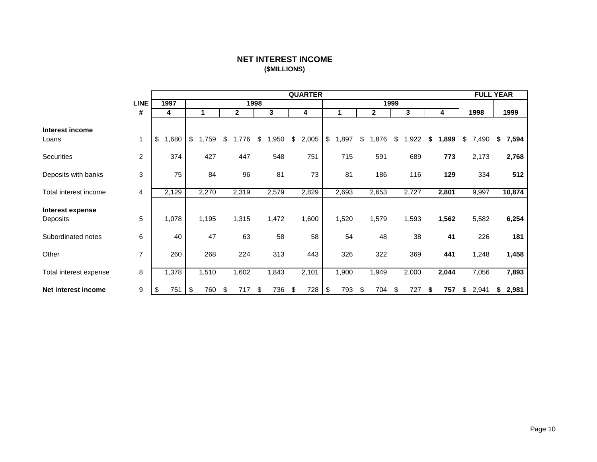# **NET INTEREST INCOME (\$MILLIONS)**

<span id="page-11-0"></span>

|                              |                |            |             |             |            | <b>QUARTER</b> |             |             |      |       |             | <b>FULL YEAR</b> |             |
|------------------------------|----------------|------------|-------------|-------------|------------|----------------|-------------|-------------|------|-------|-------------|------------------|-------------|
|                              | <b>LINE</b>    | 1997       |             | 1998        |            |                |             |             | 1999 |       |             |                  |             |
|                              | #              | 4          |             | 2           | 3          | 4              |             | 2           |      | 3     | 4           | 1998             | 1999        |
| Interest income<br>Loans     | $\mathbf{1}$   | \$<br>,680 | \$<br>1,759 | \$<br>1,776 | \$<br>,950 | \$<br>2,005    | \$<br>1,897 | \$<br>1,876 | \$   | 1,922 | \$<br>1,899 | \$<br>7,490      | \$<br>7,594 |
| Securities                   | $\overline{c}$ | 374        | 427         | 447         | 548        | 751            | 715         | 591         |      | 689   | 773         | 2,173            | 2,768       |
| Deposits with banks          | 3              | 75         | 84          | 96          | 81         | 73             | 81          | 186         |      | 116   | 129         | 334              | 512         |
| Total interest income        | 4              | 2,129      | 2,270       | 2,319       | 2,579      | 2,829          | 2,693       | 2,653       |      | 2,727 | 2,801       | 9,997            | 10,874      |
| Interest expense<br>Deposits | 5              | 1,078      | 1,195       | 1,315       | 1,472      | 1,600          | 1,520       | 1,579       |      | 1,593 | 1,562       | 5,582            | 6,254       |
| Subordinated notes           | 6              | 40         | 47          | 63          | 58         | 58             | 54          | 48          |      | 38    | 41          | 226              | 181         |
| Other                        | $\overline{7}$ | 260        | 268         | 224         | 313        | 443            | 326         | 322         |      | 369   | 441         | 1,248            | 1,458       |
| Total interest expense       | 8              | 1,378      | 1,510       | 1,602       | 1,843      | 2,101          | 1,900       | 1,949       |      | 2,000 | 2,044       | 7,056            | 7,893       |
| Net interest income          | 9              | 751<br>\$  | \$<br>760   | \$<br>717   | \$<br>736  | \$<br>728      | \$<br>793   | \$<br>704   | \$   | 727   | \$<br>757   | \$<br>2,941      | \$<br>2,981 |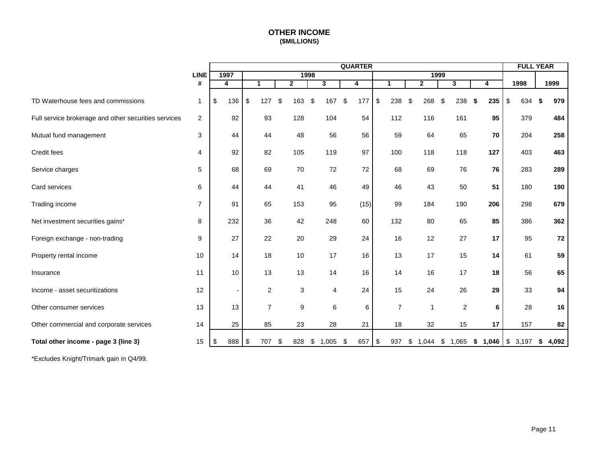# **OTHER INCOME (\$MILLIONS)**

<span id="page-12-0"></span>

|                                                      |                |                         |               |                |     |                |      |              |       | <b>QUARTER</b> |       |                |    |              |     |                |         |     | <b>FULL YEAR</b> |    |       |
|------------------------------------------------------|----------------|-------------------------|---------------|----------------|-----|----------------|------|--------------|-------|----------------|-------|----------------|----|--------------|-----|----------------|---------|-----|------------------|----|-------|
|                                                      | <b>LINE</b>    | 1997                    |               |                |     |                | 1998 |              |       |                |       |                |    | 1999         |     |                |         |     |                  |    |       |
|                                                      | #              | $\overline{\mathbf{4}}$ |               | $\mathbf{1}$   |     | $\overline{2}$ |      | $\mathbf{3}$ |       | 4              |       | 1              |    | $\mathbf{2}$ |     | 3              |         | 4   | 1998             |    | 1999  |
| TD Waterhouse fees and commissions                   | $\mathbf 1$    | \$<br>136               | $\sqrt[6]{3}$ | 127            | -\$ | 163            | \$   | 167          | $\$\$ | 177            | $\$\$ | 238            | \$ | 268          | -\$ | 238            | -S      | 235 | \$<br>634        | S. | 979   |
| Full service brokerage and other securities services | 2              | 92                      |               | 93             |     | 128            |      | 104          |       | 54             |       | 112            |    | 116          |     | 161            |         | 95  | 379              |    | 484   |
| Mutual fund management                               | 3              | 44                      |               | 44             |     | 48             |      | 56           |       | 56             |       | 59             |    | 64           |     | 65             |         | 70  | 204              |    | 258   |
| Credit fees                                          | $\overline{4}$ | 92                      |               | 82             |     | 105            |      | 119          |       | 97             |       | 100            |    | 118          |     | 118            |         | 127 | 403              |    | 463   |
| Service charges                                      | 5              | 68                      |               | 69             |     | 70             |      | 72           |       | 72             |       | 68             |    | 69           |     | 76             |         | 76  | 283              |    | 289   |
| Card services                                        | 6              | 44                      |               | 44             |     | 41             |      | 46           |       | 49             |       | 46             |    | 43           |     | 50             |         | 51  | 180              |    | 190   |
| Trading income                                       | $\overline{7}$ | 91                      |               | 65             |     | 153            |      | 95           |       | (15)           |       | 99             |    | 184          |     | 190            |         | 206 | 298              |    | 679   |
| Net investment securities gains*                     | 8              | 232                     |               | 36             |     | 42             |      | 248          |       | 60             |       | 132            |    | 80           |     | 65             |         | 85  | 386              |    | 362   |
| Foreign exchange - non-trading                       | 9              | 27                      |               | 22             |     | 20             |      | 29           |       | 24             |       | 16             |    | 12           |     | 27             |         | 17  | 95               |    | 72    |
| Property rental income                               | 10             | 14                      |               | 18             |     | 10             |      | 17           |       | 16             |       | 13             |    | 17           |     | 15             |         | 14  | 61               |    | 59    |
| Insurance                                            | 11             | 10                      |               | 13             |     | 13             |      | 14           |       | 16             |       | 14             |    | 16           |     | 17             |         | 18  | 56               |    | 65    |
| Income - asset securitizations                       | 12             |                         |               | $\mathbf{2}$   |     | 3              |      | 4            |       | 24             |       | 15             |    | 24           |     | 26             |         | 29  | 33               |    | 94    |
| Other consumer services                              | 13             | 13                      |               | $\overline{7}$ |     | 9              |      | 6            |       | 6              |       | $\overline{7}$ |    | $\mathbf 1$  |     | $\overline{2}$ |         | 6   | 28               |    | 16    |
| Other commercial and corporate services              | 14             | 25                      |               | 85             |     | 23             |      | 28           |       | 21             |       | 18             |    | 32           |     | 15             |         | 17  | 157              |    | 82    |
| Total other income - page 3 (line 3)                 | 15             | \$<br>888               | \$            | 707            | -\$ | 828            | \$   | 1,005        | \$    | 657            | \$    | 937            | S. | 1,044        | \$  | 1,065          | \$1,046 |     | \$3,197          | S. | 4,092 |

\*Excludes Knight/Trimark gain in Q4/99.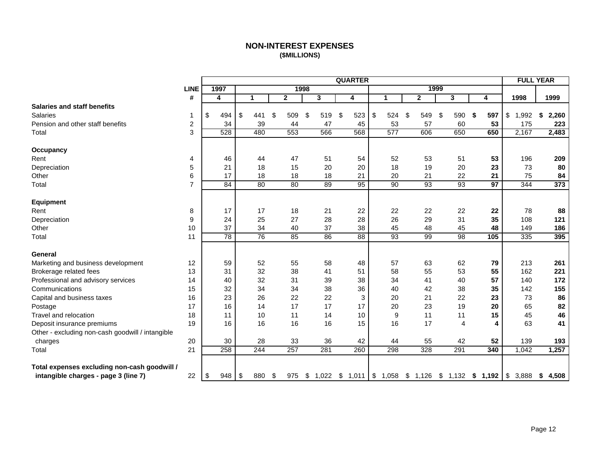# **NON-INTEREST EXPENSES (\$MILLIONS)**

<span id="page-13-0"></span>

|                                                  |                         |      |     |                                |     |              |           |    | <b>QUARTER</b>                                        |               |             |                         |                |                 |             | <b>FULL YEAR</b> |
|--------------------------------------------------|-------------------------|------|-----|--------------------------------|-----|--------------|-----------|----|-------------------------------------------------------|---------------|-------------|-------------------------|----------------|-----------------|-------------|------------------|
|                                                  | <b>LINE</b>             | 1997 |     |                                |     | 1998         |           |    |                                                       |               |             | 1999                    |                |                 |             |                  |
|                                                  | #                       | 4    |     | $\mathbf 1$                    |     | $\mathbf{2}$ | 3         |    | 4                                                     |               | $\mathbf 1$ | $\overline{\mathbf{2}}$ | 3              | 4               | 1998        | 1999             |
| <b>Salaries and staff benefits</b>               |                         |      |     |                                |     |              |           |    |                                                       |               |             |                         |                |                 |             |                  |
| <b>Salaries</b>                                  | 1                       | \$   | 494 | \$<br>441                      | \$  | 509          | \$<br>519 |    | \$<br>523                                             | $\frac{1}{2}$ | 524         | \$<br>549               | \$<br>590      | \$<br>597       | \$<br>1,992 | \$<br>2,260      |
| Pension and other staff benefits                 | $\overline{\mathbf{c}}$ |      | 34  | 39                             |     | 44           |           | 47 | 45                                                    |               | 53          | 57                      | 60             | 53              | 175         | 223              |
| Total                                            | 3                       |      | 528 | 480                            |     | 553          | 566       |    | 568                                                   |               | 577         | 606                     | 650            | 650             | 2,167       | 2,483            |
| Occupancy                                        |                         |      |     |                                |     |              |           |    |                                                       |               |             |                         |                |                 |             |                  |
| Rent                                             | 4                       |      | 46  | 44                             |     | 47           |           | 51 | 54                                                    |               | 52          | 53                      | 51             | 53              | 196         | 209              |
| Depreciation                                     | 5                       |      | 21  | 18                             |     | 15           |           | 20 | 20                                                    |               | 18          | 19                      | 20             | 23              | 73          | 80               |
| Other                                            | 6                       |      | 17  | 18                             |     | 18           |           | 18 | 21                                                    |               | 20          | 21                      | 22             | 21              | 75          | 84               |
| Total                                            | $\overline{7}$          |      | 84  | 80                             |     | 80           |           | 89 | 95                                                    |               | 90          | 93                      | 93             | $\overline{97}$ | 344         | 373              |
| Equipment                                        |                         |      |     |                                |     |              |           |    |                                                       |               |             |                         |                |                 |             |                  |
| Rent                                             | 8                       |      | 17  | 17                             |     | 18           |           | 21 | 22                                                    |               | 22          | 22                      | 22             | 22              | 78          | 88               |
| Depreciation                                     | 9                       |      | 24  | 25                             |     | 27           |           | 28 | 28                                                    |               | 26          | 29                      | 31             | 35              | 108         | 121              |
| Other                                            | 10                      |      | 37  | 34                             |     | 40           |           | 37 | 38                                                    |               | 45          | 48                      | 45             | 48              | 149         | 186              |
| Total                                            | 11                      |      | 78  | 76                             |     | 85           |           | 86 | 88                                                    |               | 93          | 99                      | 98             | 105             | 335         | 395              |
| General                                          |                         |      |     |                                |     |              |           |    |                                                       |               |             |                         |                |                 |             |                  |
| Marketing and business development               | 12                      |      | 59  | 52                             |     | 55           |           | 58 | 48                                                    |               | 57          | 63                      | 62             | 79              | 213         | 261              |
| Brokerage related fees                           | 13                      |      | 31  | 32                             |     | 38           |           | 41 | 51                                                    |               | 58          | 55                      | 53             | 55              | 162         | 221              |
| Professional and advisory services               | 14                      |      | 40  | 32                             |     | 31           |           | 39 | 38                                                    |               | 34          | 41                      | 40             | 57              | 140         | 172              |
| Communications                                   | 15                      |      | 32  | 34                             |     | 34           |           | 38 | 36                                                    |               | 40          | 42                      | 38             | 35              | 142         | 155              |
| Capital and business taxes                       | 16                      |      | 23  | 26                             |     | 22           |           | 22 | 3                                                     |               | 20          | 21                      | 22             | 23              | 73          | 86               |
| Postage                                          | 17                      |      | 16  | 14                             |     | 17           |           | 17 | 17                                                    |               | 20          | 23                      | 19             | 20              | 65          | 82               |
| Travel and relocation                            | 18                      |      | 11  | 10                             |     | 11           |           | 14 | 10                                                    |               | 9           | 11                      | 11             | 15              | 45          | 46               |
| Deposit insurance premiums                       | 19                      |      | 16  | 16                             |     | 16           |           | 16 | 15                                                    |               | 16          | 17                      | $\overline{4}$ | 4               | 63          | 41               |
| Other - excluding non-cash goodwill / intangible |                         |      |     |                                |     |              |           |    |                                                       |               |             |                         |                |                 |             |                  |
| charges                                          | 20                      |      | 30  | 28                             |     | 33           |           | 36 | 42                                                    |               | 44          | 55                      | 42             | 52              | 139         | 193              |
| Total                                            | 21                      |      | 258 | 244                            |     | 257          | 281       |    | 260                                                   |               | 298         | 328                     | 291            | 340             | 1,042       | 1,257            |
| Total expenses excluding non-cash goodwill /     |                         |      |     |                                |     |              |           |    |                                                       |               |             |                         |                |                 |             |                  |
| intangible charges - page 3 (line 7)             | 22                      | \$   | 948 | $\sqrt[6]{\frac{1}{2}}$<br>880 | -\$ | 975          |           |    | $$1,022$ $$1,011$ $$1,058$ $$1,126$ $$1,132$ $$1,192$ |               |             |                         |                |                 | \$3,888     | \$<br>4,508      |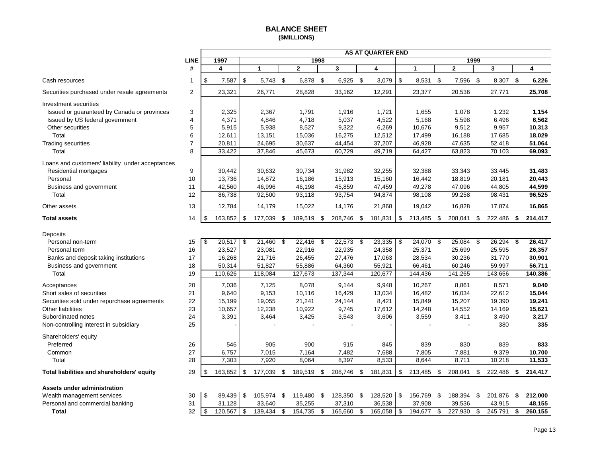## **BALANCE SHEET (\$MILLIONS)**

<span id="page-14-0"></span>

|                                                  |                |                     |              |             |                |                         |             |      | AS AT QUARTER END |      |                      |      |              |      |             |               |
|--------------------------------------------------|----------------|---------------------|--------------|-------------|----------------|-------------------------|-------------|------|-------------------|------|----------------------|------|--------------|------|-------------|---------------|
|                                                  | <b>LINE</b>    | 1997                |              |             |                | 1998                    |             |      |                   |      |                      |      |              | 1999 |             |               |
|                                                  | #              | 4                   | $\mathbf{1}$ |             | $\overline{2}$ |                         | 3           |      | 4                 |      | $\blacktriangleleft$ |      | $\mathbf{2}$ |      | 3           | 4             |
| Cash resources                                   | 1              | \$<br>7,587         | \$           | $5,743$ \$  | 6,878 \$       |                         | $6,925$ \$  |      | 3,079             | l \$ | 8,531 \$             |      | 7,596 \$     |      | 8,307 \$    | 6,226         |
| Securities purchased under resale agreements     | 2              | 23,321              |              | 26,771      | 28,828         |                         | 33,162      |      | 12,291            |      | 23,377               |      | 20,536       |      | 27,771      | 25,708        |
| Investment securities                            |                |                     |              |             |                |                         |             |      |                   |      |                      |      |              |      |             |               |
| Issued or guaranteed by Canada or provinces      | 3              | 2,325               |              | 2,367       | 1,791          |                         | 1,916       |      | 1,721             |      | 1,655                |      | 1,078        |      | 1,232       | 1,154         |
| Issued by US federal government                  | 4              | 4,371               |              | 4,846       | 4,718          |                         | 5,037       |      | 4,522             |      | 5,168                |      | 5,598        |      | 6,496       | 6,562         |
| Other securities                                 | 5              | 5,915               |              | 5,938       | 8,527          |                         | 9,322       |      | 6,269             |      | 10,676               |      | 9,512        |      | 9,957       | 10,313        |
| Total                                            | 6              | 12,611              |              | 13,151      | 15,036         |                         | 16,275      |      | 12,512            |      | 17,499               |      | 16,188       |      | 17,685      | 18,029        |
| <b>Trading securities</b>                        | $\overline{7}$ | 20,811              |              | 24,695      | 30,637         |                         | 44,454      |      | 37,207            |      | 46,928               |      | 47,635       |      | 52,418      | 51,064        |
| Total                                            | 8              | 33,422              |              | 37,846      | 45,673         |                         | 60,729      |      | 49,719            |      | 64,427               |      | 63,823       |      | 70,103      | 69,093        |
| Loans and customers' liability under acceptances |                |                     |              |             |                |                         |             |      |                   |      |                      |      |              |      |             |               |
| Residential mortgages                            | 9              | 30,442              |              | 30,632      | 30,734         |                         | 31,982      |      | 32,255            |      | 32,388               |      | 33,343       |      | 33,445      | 31,483        |
| Personal                                         | 10             | 13,736              |              | 14,872      | 16,186         |                         | 15,913      |      | 15,160            |      | 16,442               |      | 18,819       |      | 20,181      | 20,443        |
| Business and government                          | 11             | 42,560              |              | 46,996      | 46,198         |                         | 45,859      |      | 47,459            |      | 49,278               |      | 47,096       |      | 44,805      | 44,599        |
| Total                                            | 12             | 86,738              |              | 92,500      | 93,118         |                         | 93,754      |      | 94,874            |      | 98,108               |      | 99,258       |      | 98,431      | 96,525        |
| Other assets                                     | 13             | 12,784              |              | 14,179      | 15,022         |                         | 14,176      |      | 21,868            |      | 19,042               |      | 16,828       |      | 17,874      | 16,865        |
| <b>Total assets</b>                              | 14             | \$<br>163,852       | \$           | 177,039 \$  | 189,519 \$     |                         | 208,746     | - \$ | 181,831           | \$   | 213,485              | \$   | 208,041      | \$   | 222,486 \$  | 214,417       |
| Deposits                                         |                |                     |              |             |                |                         |             |      |                   |      |                      |      |              |      |             |               |
| Personal non-term                                | 15             | \$<br>$20,517$ \$   |              | $21,460$ \$ | 22,416         | \$                      | $22,573$ \$ |      | 23,335            | l \$ | 24,070               | - \$ | $25,084$ \$  |      | $26,294$ \$ | 26,417        |
| Personal term                                    | 16             | 23,527              |              | 23,081      | 22,916         |                         | 22,935      |      | 24,358            |      | 25,371               |      | 25,699       |      | 25,595      | 26,357        |
| Banks and deposit taking institutions            | 17             | 16,268              |              | 21,716      | 26,455         |                         | 27,476      |      | 17,063            |      | 28,534               |      | 30,236       |      | 31,770      | 30,901        |
| Business and government                          | 18             | 50,314              |              | 51,827      | 55,886         |                         | 64,360      |      | 55,921            |      | 66,461               |      | 60,246       |      | 59,997      | 56,711        |
| Total                                            | 19             | 110,626             |              | 118,084     | 127,673        |                         | 137,344     |      | 120,677           |      | 144,436              |      | 141,265      |      | 143,656     | 140,386       |
| Acceptances                                      | 20             | 7,036               |              | 7,125       | 8,078          |                         | 9,144       |      | 9,948             |      | 10,267               |      | 8,861        |      | 8,571       | 9,040         |
| Short sales of securities                        | 21             | 9,640               |              | 9,153       | 10,116         |                         | 16,429      |      | 13,034            |      | 16,482               |      | 16,034       |      | 22,612      | 15,044        |
| Securities sold under repurchase agreements      | 22             | 15,199              |              | 19,055      | 21,241         |                         | 24,144      |      | 8,421             |      | 15,849               |      | 15,207       |      | 19,390      | 19,241        |
| Other liabilities                                | 23             | 10,657              |              | 12,238      | 10,922         |                         | 9,745       |      | 17,612            |      | 14,248               |      | 14,552       |      | 14,169      | 15,621        |
| Subordinated notes                               | 24             | 3,391               |              | 3,464       | 3,425          |                         | 3,543       |      | 3,606             |      | 3,559                |      | 3,411        |      | 3,490       | 3,217         |
| Non-controlling interest in subsidiary           | 25             |                     |              |             |                |                         |             |      |                   |      |                      |      |              |      | 380         | 335           |
| Shareholders' equity                             |                |                     |              |             |                |                         |             |      |                   |      |                      |      |              |      |             |               |
| Preferred                                        | 26             | 546                 |              | 905         | 900            |                         | 915         |      | 845               |      | 839                  |      | 830          |      | 839         | 833           |
| Common                                           | 27             | 6,757               |              | 7,015       | 7,164          |                         | 7,482       |      | 7,688             |      | 7,805                |      | 7,881        |      | 9,379       | 10,700        |
| Total                                            | 28             | 7,303               |              | 7,920       | 8,064          |                         | 8,397       |      | 8,533             |      | 8,644                |      | 8,711        |      | 10,218      | 11,533        |
| Total liabilities and shareholders' equity       | 29             | \$<br>163,852       | \$           | 177,039 \$  | 189,519 \$     |                         | 208,746 \$  |      | 181,831           | \$   | 213,485 \$           |      | 208,041 \$   |      | 222,486 \$  | 214,417       |
|                                                  |                |                     |              |             |                |                         |             |      |                   |      |                      |      |              |      |             |               |
| <b>Assets under administration</b>               |                |                     |              |             |                |                         |             |      |                   |      |                      |      |              |      |             |               |
| Wealth management services                       | 30             | l \$<br>$89,439$ \$ |              | 105,974     | \$<br>119,480  | $\overline{\mathbf{s}}$ | 128,350     | \$   | 128,520 \$        |      | 156,769              | \$   | 188,394      | \$   | 201,876     | \$<br>212.000 |

| Wealth management services      | 30           | 89.439  | 105.974 | 119.480 | 128.350 | 128.520 | 156,769 | 188.394 | 201.876 | 212,000 |
|---------------------------------|--------------|---------|---------|---------|---------|---------|---------|---------|---------|---------|
| Personal and commercial banking | $\sim$       | .128    | 33.640  | 35,255  | 37,310  | 36,538  | 37,908  | 39,536  | 43,915  | 48.155  |
| Total                           | $\sim$<br>32 | 120.567 | 139.434 | 154.735 | 165.660 | 165.058 | 194.677 | 227,930 | 245.791 | 260.155 |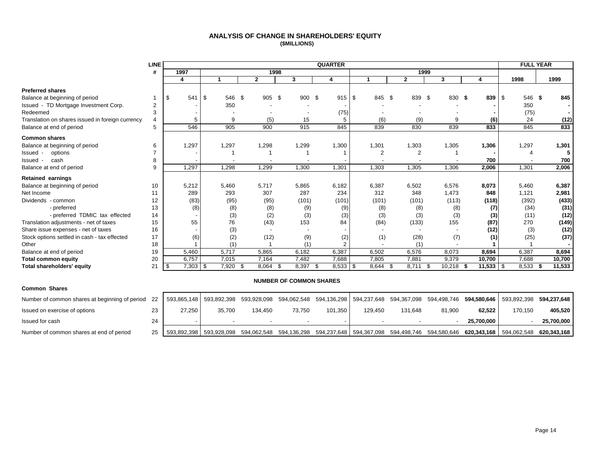#### **ANALYSIS OF CHANGE IN SHAREHOLDERS' EQUITY (\$MILLIONS)**

<span id="page-15-0"></span>

|                                                  | <b>LINE</b> |               |               |                |             | <b>QUARTER</b> |             |               |                |               | <b>FULL YEAR</b>     |              |
|--------------------------------------------------|-------------|---------------|---------------|----------------|-------------|----------------|-------------|---------------|----------------|---------------|----------------------|--------------|
|                                                  | #           | 1997          |               | 1998           |             |                |             |               | 1999           |               |                      |              |
|                                                  |             | 4             |               | $\overline{2}$ | 3           | 4              |             | $\mathbf{2}$  | 3              |               | 1998                 | 1999         |
| <b>Preferred shares</b>                          |             |               |               |                |             |                |             |               |                |               |                      |              |
| Balance at beginning of period                   |             | 541<br>\$     | -\$<br>546 \$ | 905 \$         | 900 \$      | 915S           | 845 \$      | 839           | - \$<br>830 \$ | 839           | $\sqrt{3}$<br>546 \$ | 845          |
| Issued - TD Mortgage Investment Corp.            | 2           |               | 350           |                |             |                |             |               |                |               | 350                  |              |
| Redeemed                                         | 3           |               |               |                |             | (75)           |             |               |                |               | (75)                 |              |
| Translation on shares issued in foreign currency | 4           | 5             | 9             | (5)            | 15          |                | (6)         | (9)           | 9              | (6)           | 24                   | (12)         |
| Balance at end of period                         | 5           | 546           | 905           | 900            | 915         | 845            | 839         | 830           | 839            | 833           | 845                  | 833          |
| <b>Common shares</b>                             |             |               |               |                |             |                |             |               |                |               |                      |              |
| Balance at beginning of period                   | 6           | 1,297         | 1,297         | 1,298          | 1,299       | 1,300          | 1,301       | 1,303         | 1,305          | 1,306         | 1,297                | 1,301        |
| Issued -<br>options                              |             |               |               |                |             |                | 2           | 2             |                |               |                      |              |
| cash<br>Issued -                                 | 8           |               |               |                |             |                |             |               |                | 700           |                      | 700          |
| Balance at end of period                         | 9           | 1,297         | 1,298         | 1,299          | 1,300       | 1,301          | 1,303       | 1,305         | 1,306          | 2,006         | 1,301                | 2,006        |
| <b>Retained earnings</b>                         |             |               |               |                |             |                |             |               |                |               |                      |              |
| Balance at beginning of period                   | 10          | 5,212         | 5,460         | 5.717          | 5,865       | 6,182          | 6,387       | 6,502         | 6,576          | 8.073         | 5.460                | 6,387        |
| Net Income                                       | 11          | 289           | 293           | 307            | 287         | 234            | 312         | 348           | 1,473          | 848           | 1,121                | 2,981        |
| Dividends - common                               | 12          | (83)          | (95)          | (95)           | (101)       | (101)          | (101)       | (101)         | (113)          | (118)         | (392)                | (433)        |
| - preferred                                      | 13          | (8)           | (8)           | (8)            | (9)         | (9)            | (8)         | (8)           | (8)            | (7)           | (34)                 | (31)         |
| - preferred TDMIC tax effected                   | 14          |               | (3)           | (2)            | (3)         | (3)            | (3)         | (3)           | (3)            | (3)           | (11)                 | (12)         |
| Translation adjustments - net of taxes           | 15          | 55            | 76            | (43)           | 153         | 84             | (84)        | (133)         | 155            | (87)          | 270                  | (149)        |
| Share issue expenses - net of taxes              | 16          |               | (3)           |                |             |                |             |               |                | (12)          | (3)                  | (12)         |
| Stock options settled in cash - tax effected     | 17          | (6)           | (2)           | (12)           | (9)         | (2)            | (1)         | (28)          | (7)            | (1)           | (25)                 | (37)         |
| Other                                            | 18          |               | (1)           |                | (1)         |                |             | (1)           |                |               |                      |              |
| Balance at end of period                         | 19          | 5,460         | 5,717         | 5,865          | 6,182       | 6,387          | 6,502       | 6,576         | 8,073          | 8,694         | 6,387                | 8,694        |
| <b>Total common equity</b>                       | 20          | 6,757         | 7,015         | 7,164          | 7,482       | 7,688          | 7,805       | 7,881         | 9,379          | 10,700        | 7,688                | 10,700       |
| Total shareholders' equity                       | 21          | 7,303<br>- 35 | 7,920<br>- \$ | 8,064<br>- \$  | 8,397<br>-S | 8,533<br>- \$  | 8,644<br>\$ | 8,711<br>- \$ | 10,218<br>- \$ | 11,533<br>- 5 | -\$<br>8,533         | 11,533<br>-S |

#### **NUMBER OF COMMON SHARES**

| <b>Common Shares</b>                           |    |             |             |         |        |         |                                                                                                                                                         |         |        |            |         |            |
|------------------------------------------------|----|-------------|-------------|---------|--------|---------|---------------------------------------------------------------------------------------------------------------------------------------------------------|---------|--------|------------|---------|------------|
| Number of common shares at beginning of period | 22 |             |             |         |        |         | 593,865,148   593,892,398 593,928,098 594,062,548 594,136,298   594,237,648 594,367,098 594,498,746 <b>594,580,646</b>   593,892,398 <b>594,237,648</b> |         |        |            |         |            |
| Issued on exercise of options                  | 23 | 27.250      | 35.700      | 134.450 | 73.750 | 101.350 | 129.450                                                                                                                                                 | 131.648 | 81,900 | 62.522     | 170.150 | 405.520    |
| Issued for cash                                | 24 |             |             |         |        |         |                                                                                                                                                         |         |        | 25.700.000 |         | 25,700,000 |
| Number of common shares at end of period       | 25 | 593,892,398 | 593.928.098 |         |        |         | 594,062,548 594,136,298 594,237,648 594,367,098 594,498,746 594,580,646 <b>620,343,168</b> 594,062,548 <b>620,343,168</b>                               |         |        |            |         |            |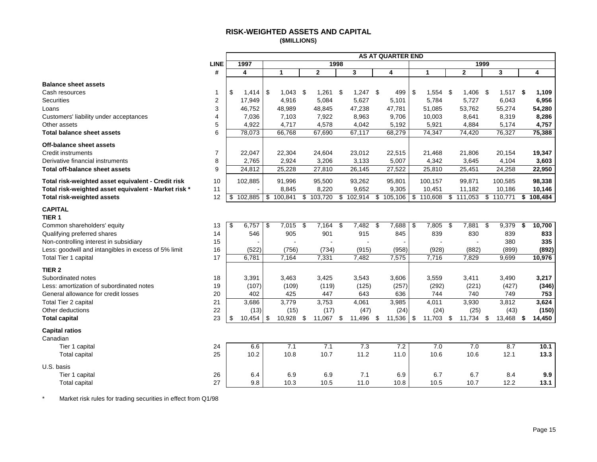## **RISK-WEIGHTED ASSETS AND CAPITAL (\$MILLIONS)**

<span id="page-16-0"></span>

|                                                      |                |     |         |              |                 |      |            | <b>AS AT QUARTER END</b> |    |                  |      |                |      |           |              |
|------------------------------------------------------|----------------|-----|---------|--------------|-----------------|------|------------|--------------------------|----|------------------|------|----------------|------|-----------|--------------|
|                                                      | <b>LINE</b>    |     | 1997    |              |                 | 1998 |            |                          |    |                  |      | 1999           |      |           |              |
|                                                      | #              |     | 4       | 1            | $\overline{2}$  |      | 3          | 4                        |    | 1                |      | $\overline{2}$ |      | 3         | 4            |
| <b>Balance sheet assets</b>                          |                |     |         |              |                 |      |            |                          |    |                  |      |                |      |           |              |
| Cash resources                                       | -1             | \$  | 1,414   | \$<br>1,043  | \$<br>1,261     | -\$  | $1,247$ \$ | 499                      | \$ | 1,554            | - \$ | 1,406          | - \$ | 1,517     | \$<br>1,109  |
| <b>Securities</b>                                    | 2              |     | 17,949  | 4,916        | 5,084           |      | 5,627      | 5,101                    |    | 5,784            |      | 5,727          |      | 6,043     | 6,956        |
| Loans                                                | 3              |     | 46,752  | 48,989       | 48,845          |      | 47,238     | 47,781                   |    | 51,085           |      | 53,762         |      | 55,274    | 54,280       |
| Customers' liability under acceptances               | 4              |     | 7,036   | 7,103        | 7,922           |      | 8,963      | 9,706                    |    | 10,003           |      | 8,641          |      | 8,319     | 8,286        |
| Other assets                                         | 5              |     | 4,922   | 4,717        | 4,578           |      | 4,042      | 5,192                    |    | 5,921            |      | 4,884          |      | 5,174     | 4,757        |
| <b>Total balance sheet assets</b>                    | 6              |     | 78,073  | 66,768       | 67,690          |      | 67,117     | 68,279                   |    | 74,347           |      | 74,420         |      | 76,327    | 75,388       |
| Off-balance sheet assets                             |                |     |         |              |                 |      |            |                          |    |                  |      |                |      |           |              |
| <b>Credit instruments</b>                            | $\overline{7}$ |     | 22,047  | 22,304       | 24,604          |      | 23,012     | 22,515                   |    | 21,468           |      | 21,806         |      | 20,154    | 19,347       |
| Derivative financial instruments                     | 8              |     | 2,765   | 2,924        | 3,206           |      | 3,133      | 5,007                    |    | 4,342            |      | 3,645          |      | 4,104     | 3,603        |
| <b>Total off-balance sheet assets</b>                | 9              |     | 24,812  | 25,228       | 27,810          |      | 26,145     | 27,522                   |    | 25,810           |      | 25,451         |      | 24,258    | 22,950       |
| Total risk-weighted asset equivalent - Credit risk   | 10             |     | 102,885 | 91,996       | 95,500          |      | 93,262     | 95,801                   |    | 100,157          |      | 99,871         |      | 100,585   | 98,338       |
| Total risk-weighted asset equivalent - Market risk * | 11             |     |         | 8,845        | 8,220           |      | 9,652      | 9,305                    |    | 10,451           |      | 11,182         |      | 10,186    | 10,146       |
| <b>Total risk-weighted assets</b>                    | 12             | \$  | 102,885 | \$100,841    | \$103,720       |      | \$102,914  | \$105,106                |    | \$110,608        | \$   | 111,053        |      | \$110,771 | \$108,484    |
| <b>CAPITAL</b><br>TIER <sub>1</sub>                  |                |     |         |              |                 |      |            |                          |    |                  |      |                |      |           |              |
| Common shareholders' equity                          | 13             | -\$ | 6,757   | \$<br>7,015  | \$<br>7,164     | \$   | 7,482      | \$<br>7,688              | \$ | 7,805            | \$   | 7,881          | \$   | 9,379     | \$<br>10,700 |
| Qualifying preferred shares                          | 14             |     | 546     | 905          | 901             |      | 915        | 845                      |    | 839              |      | 830            |      | 839       | 833          |
| Non-controlling interest in subsidiary               | 15             |     |         |              |                 |      |            |                          |    |                  |      |                |      | 380       | 335          |
| Less: goodwill and intangibles in excess of 5% limit | 16             |     | (522)   | (756)        | (734)           |      | (915)      | (958)                    |    | (928)            |      | (882)          |      | (899)     | (892)        |
| Total Tier 1 capital                                 | 17             |     | 6,781   | 7,164        | 7,331           |      | 7,482      | 7,575                    |    | 7,716            |      | 7,829          |      | 9,699     | 10,976       |
| TIER <sub>2</sub>                                    |                |     |         |              |                 |      |            |                          |    |                  |      |                |      |           |              |
| Subordinated notes                                   | 18             |     | 3,391   | 3,463        | 3,425           |      | 3,543      | 3,606                    |    | 3,559            |      | 3,411          |      | 3,490     | 3,217        |
| Less: amortization of subordinated notes             | 19             |     | (107)   | (109)        | (119)           |      | (125)      | (257)                    |    | (292)            |      | (221)          |      | (427)     | (346)        |
| General allowance for credit losses                  | 20             |     | 402     | 425          | 447             |      | 643        | 636                      |    | 744              |      | 740            |      | 749       | 753          |
| Total Tier 2 capital                                 | 21             |     | 3,686   | 3,779        | 3,753           |      | 4,061      | 3,985                    |    | 4,011            |      | 3,930          |      | 3,812     | 3,624        |
| Other deductions                                     | 22             |     | (13)    | (15)         | (17)            |      | (47)       | (24)                     |    | (24)             |      | (25)           |      | (43)      | (150)        |
| <b>Total capital</b>                                 | 23             | -\$ | 10,454  | \$<br>10,928 | \$<br>11,067 \$ |      | 11,496     | \$<br>11,536             | -S | 11,703 \$        |      | 11,734         | \$   | 13,468    | \$<br>14,450 |
| <b>Capital ratios</b><br>Canadian                    |                |     |         |              |                 |      |            |                          |    |                  |      |                |      |           |              |
| Tier 1 capital                                       | 24             |     | 6.6     | 7.1          | 7.1             |      | 7.3        | 7.2                      |    | $\overline{7.0}$ |      | 7.0            |      | 8.7       | 10.1         |
| <b>Total capital</b>                                 | 25             |     | 10.2    | 10.8         | 10.7            |      | 11.2       | 11.0                     |    | 10.6             |      | 10.6           |      | 12.1      | 13.3         |
| U.S. basis                                           |                |     |         |              |                 |      |            |                          |    |                  |      |                |      |           |              |
| Tier 1 capital                                       | 26             |     | 6.4     | 6.9          | 6.9             |      | 7.1        | 6.9                      |    | 6.7              |      | 6.7            |      | 8.4       | 9.9          |
| <b>Total capital</b>                                 | 27             |     | 9.8     | 10.3         | 10.5            |      | 11.0       | 10.8                     |    | 10.5             |      | 10.7           |      | 12.2      | 13.1         |

\* Market risk rules for trading securities in effect from Q1/98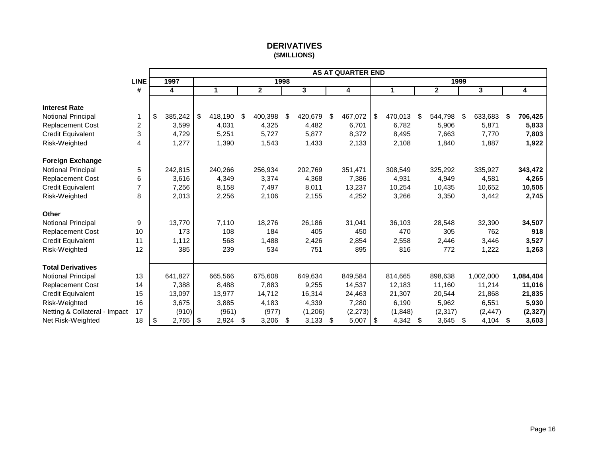# **DERIVATIVES (\$MILLIONS)**

<span id="page-17-0"></span>

|                               |             |               |    |         |               |               | <b>AS AT QUARTER END</b> |      |         |               |      |           |      |           |
|-------------------------------|-------------|---------------|----|---------|---------------|---------------|--------------------------|------|---------|---------------|------|-----------|------|-----------|
|                               | <b>LINE</b> | 1997          |    |         | 1998          |               |                          |      |         |               | 1999 |           |      |           |
|                               | #           | 4             |    | 1       | $\mathbf{2}$  | 3             | 4                        |      | 1       | $\mathbf{2}$  |      | 3         |      | 4         |
|                               |             |               |    |         |               |               |                          |      |         |               |      |           |      |           |
| <b>Interest Rate</b>          |             |               |    |         |               |               |                          |      |         |               |      |           |      |           |
| Notional Principal            | 1           | \$<br>385,242 | \$ | 418,190 | \$<br>400,398 | \$<br>420,679 | \$<br>467,072            | \$   | 470,013 | \$<br>544,798 | \$   | 633,683   | \$   | 706,425   |
| Replacement Cost              | 2           | 3,599         |    | 4,031   | 4,325         | 4,482         | 6,701                    |      | 6,782   | 5,906         |      | 5,871     |      | 5,833     |
| <b>Credit Equivalent</b>      | 3           | 4,729         |    | 5,251   | 5,727         | 5,877         | 8,372                    |      | 8,495   | 7,663         |      | 7,770     |      | 7,803     |
| Risk-Weighted                 | 4           | 1,277         |    | 1,390   | 1,543         | 1,433         | 2,133                    |      | 2,108   | 1,840         |      | 1,887     |      | 1,922     |
| <b>Foreign Exchange</b>       |             |               |    |         |               |               |                          |      |         |               |      |           |      |           |
| Notional Principal            | 5           | 242,815       |    | 240,266 | 256,934       | 202,769       | 351,471                  |      | 308,549 | 325,292       |      | 335,927   |      | 343,472   |
| <b>Replacement Cost</b>       | 6           | 3,616         |    | 4,349   | 3,374         | 4,368         | 7,386                    |      | 4,931   | 4,949         |      | 4,581     |      | 4,265     |
| <b>Credit Equivalent</b>      | 7           | 7,256         |    | 8,158   | 7,497         | 8,011         | 13,237                   |      | 10,254  | 10,435        |      | 10,652    |      | 10,505    |
| Risk-Weighted                 | 8           | 2,013         |    | 2,256   | 2,106         | 2,155         | 4,252                    |      | 3,266   | 3,350         |      | 3,442     |      | 2,745     |
| <b>Other</b>                  |             |               |    |         |               |               |                          |      |         |               |      |           |      |           |
| Notional Principal            | 9           | 13,770        |    | 7,110   | 18,276        | 26,186        | 31,041                   |      | 36,103  | 28,548        |      | 32,390    |      | 34,507    |
| <b>Replacement Cost</b>       | 10          | 173           |    | 108     | 184           | 405           | 450                      |      | 470     | 305           |      | 762       |      | 918       |
| <b>Credit Equivalent</b>      | 11          | 1,112         |    | 568     | 1,488         | 2,426         | 2,854                    |      | 2,558   | 2,446         |      | 3,446     |      | 3,527     |
| Risk-Weighted                 | 12          | 385           |    | 239     | 534           | 751           | 895                      |      | 816     | 772           |      | 1,222     |      | 1,263     |
| <b>Total Derivatives</b>      |             |               |    |         |               |               |                          |      |         |               |      |           |      |           |
| Notional Principal            | 13          | 641,827       |    | 665,566 | 675,608       | 649,634       | 849.584                  |      | 814,665 | 898.638       |      | 1,002,000 |      | 1,084,404 |
| <b>Replacement Cost</b>       | 14          | 7,388         |    | 8,488   | 7,883         | 9,255         | 14,537                   |      | 12,183  | 11,160        |      | 11,214    |      | 11,016    |
| <b>Credit Equivalent</b>      | 15          | 13,097        |    | 13,977  | 14,712        | 16,314        | 24,463                   |      | 21,307  | 20,544        |      | 21,868    |      | 21,835    |
| Risk-Weighted                 | 16          | 3,675         |    | 3,885   | 4,183         | 4,339         | 7,280                    |      | 6,190   | 5,962         |      | 6,551     |      | 5,930     |
| Netting & Collateral - Impact | 17          | (910)         |    | (961)   | (977)         | (1,206)       | (2, 273)                 |      | (1,848) | (2, 317)      |      | (2, 447)  |      | (2, 327)  |
| Net Risk-Weighted             | 18          | \$<br>2,765   | \$ | 2,924   | \$<br>3,206   | \$<br>3,133   | \$<br>5,007              | - \$ | 4,342   | \$<br>3,645   | - \$ | 4,104     | - \$ | 3,603     |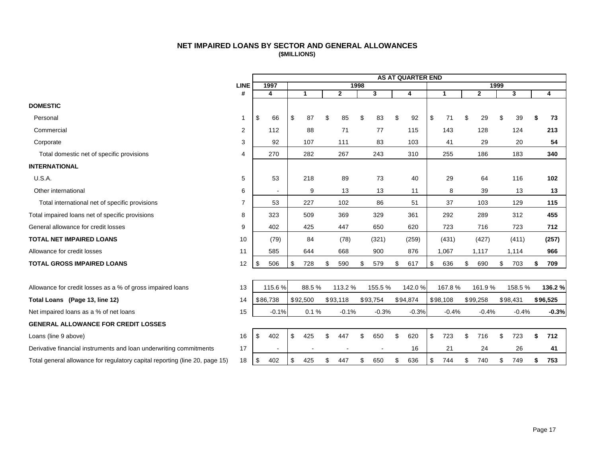# **NET IMPAIRED LOANS BY SECTOR AND GENERAL ALLOWANCES (\$MILLIONS)**

<span id="page-18-0"></span>

|                                                                             |                |           |     |          |              |      |          | <b>AS AT QUARTER END</b> |           |                |      |          |           |
|-----------------------------------------------------------------------------|----------------|-----------|-----|----------|--------------|------|----------|--------------------------|-----------|----------------|------|----------|-----------|
|                                                                             | <b>LINE</b>    | 1997      |     |          |              | 1998 |          |                          |           |                | 1999 |          |           |
|                                                                             | #              | 4         |     | 1        | $\mathbf{2}$ |      | 3        | 4                        | 1         | $\overline{2}$ |      | 3        | 4         |
| <b>DOMESTIC</b>                                                             |                |           |     |          |              |      |          |                          |           |                |      |          |           |
| Personal                                                                    | -1             | \$<br>66  | \$  | 87       | \$<br>85     | \$   | 83       | \$<br>92                 | \$<br>71  | \$<br>29       | \$   | 39       | \$<br>73  |
| Commercial                                                                  | 2              | 112       |     | 88       | 71           |      | 77       | 115                      | 143       | 128            |      | 124      | 213       |
| Corporate                                                                   | 3              | 92        |     | 107      | 111          |      | 83       | 103                      | 41        | 29             |      | 20       | 54        |
| Total domestic net of specific provisions                                   | 4              | 270       |     | 282      | 267          |      | 243      | 310                      | 255       | 186            |      | 183      | 340       |
| <b>INTERNATIONAL</b>                                                        |                |           |     |          |              |      |          |                          |           |                |      |          |           |
| U.S.A.                                                                      | 5              | 53        |     | 218      | 89           |      | 73       | 40                       | 29        | 64             |      | 116      | 102       |
| Other international                                                         | 6              |           |     | 9        | 13           |      | 13       | 11                       | 8         | 39             |      | 13       | 13        |
| Total international net of specific provisions                              | $\overline{7}$ | 53        |     | 227      | 102          |      | 86       | 51                       | 37        | 103            |      | 129      | 115       |
| Total impaired loans net of specific provisions                             | 8              | 323       |     | 509      | 369          |      | 329      | 361                      | 292       | 289            |      | 312      | 455       |
| General allowance for credit losses                                         | 9              | 402       |     | 425      | 447          |      | 650      | 620                      | 723       | 716            |      | 723      | 712       |
| <b>TOTAL NET IMPAIRED LOANS</b>                                             | 10             | (79)      |     | 84       | (78)         |      | (321)    | (259)                    | (431)     | (427)          |      | (411)    | (257)     |
| Allowance for credit losses                                                 | 11             | 585       |     | 644      | 668          |      | 900      | 876                      | 1,067     | 1,117          |      | 1,114    | 966       |
| <b>TOTAL GROSS IMPAIRED LOANS</b>                                           | 12             | \$<br>506 | \$  | 728      | \$<br>590    | \$   | 579      | \$<br>617                | \$<br>636 | \$<br>690      | \$   | 703      | \$<br>709 |
|                                                                             |                |           |     |          |              |      |          |                          |           |                |      |          |           |
| Allowance for credit losses as a % of gross impaired loans                  | 13             | 115.6%    |     | 88.5%    | 113.2 %      |      | 155.5%   | 142.0%                   | 167.8%    | 161.9%         |      | 158.5%   | 136.2 %   |
| Total Loans (Page 13, line 12)                                              | 14             | \$86,738  |     | \$92,500 | \$93,118     |      | \$93,754 | \$94,874                 | \$98,108  | \$99,258       |      | \$98,431 | \$96,525  |
| Net impaired loans as a % of net loans                                      | 15             | $-0.1%$   |     | 0.1%     | $-0.1%$      |      | $-0.3%$  | $-0.3%$                  | $-0.4%$   | $-0.4%$        |      | $-0.4%$  | $-0.3%$   |
| <b>GENERAL ALLOWANCE FOR CREDIT LOSSES</b>                                  |                |           |     |          |              |      |          |                          |           |                |      |          |           |
| Loans (line 9 above)                                                        | 16             | \$<br>402 | \$  | 425      | \$<br>447    | \$   | 650      | \$<br>620                | \$<br>723 | \$<br>716      | \$   | 723      | \$<br>712 |
| Derivative financial instruments and loan underwriting commitments          | 17             |           |     |          |              |      |          | 16                       | 21        | 24             |      | 26       | 41        |
| Total general allowance for regulatory capital reporting (line 20, page 15) | 18             | \$<br>402 | -\$ | 425      | \$<br>447    | \$   | 650      | \$<br>636                | \$<br>744 | \$<br>740      | \$   | 749      | \$<br>753 |